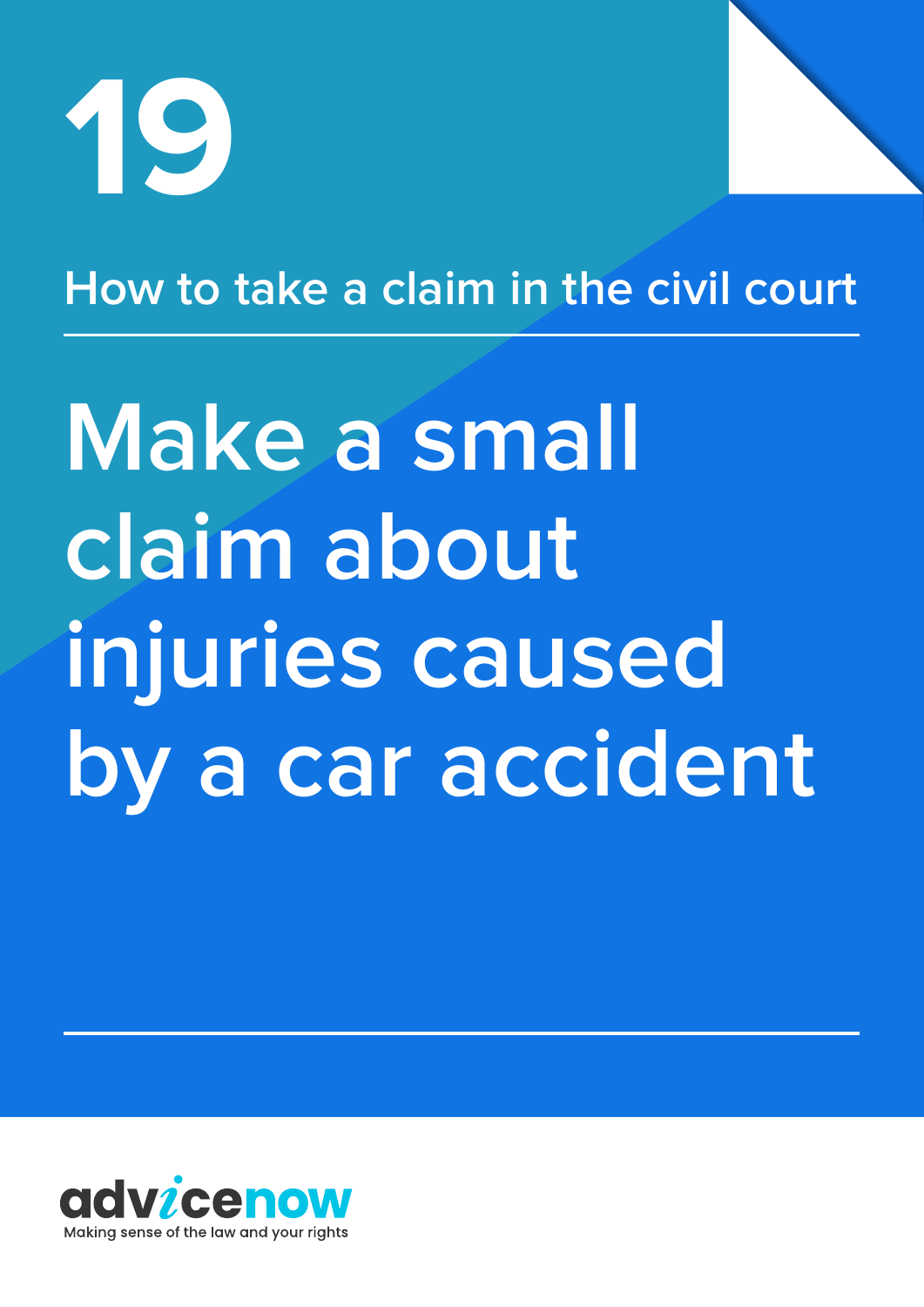

## **How to take a claim in the civil court**

# **Make a small claim about injuries caused by a car accident**

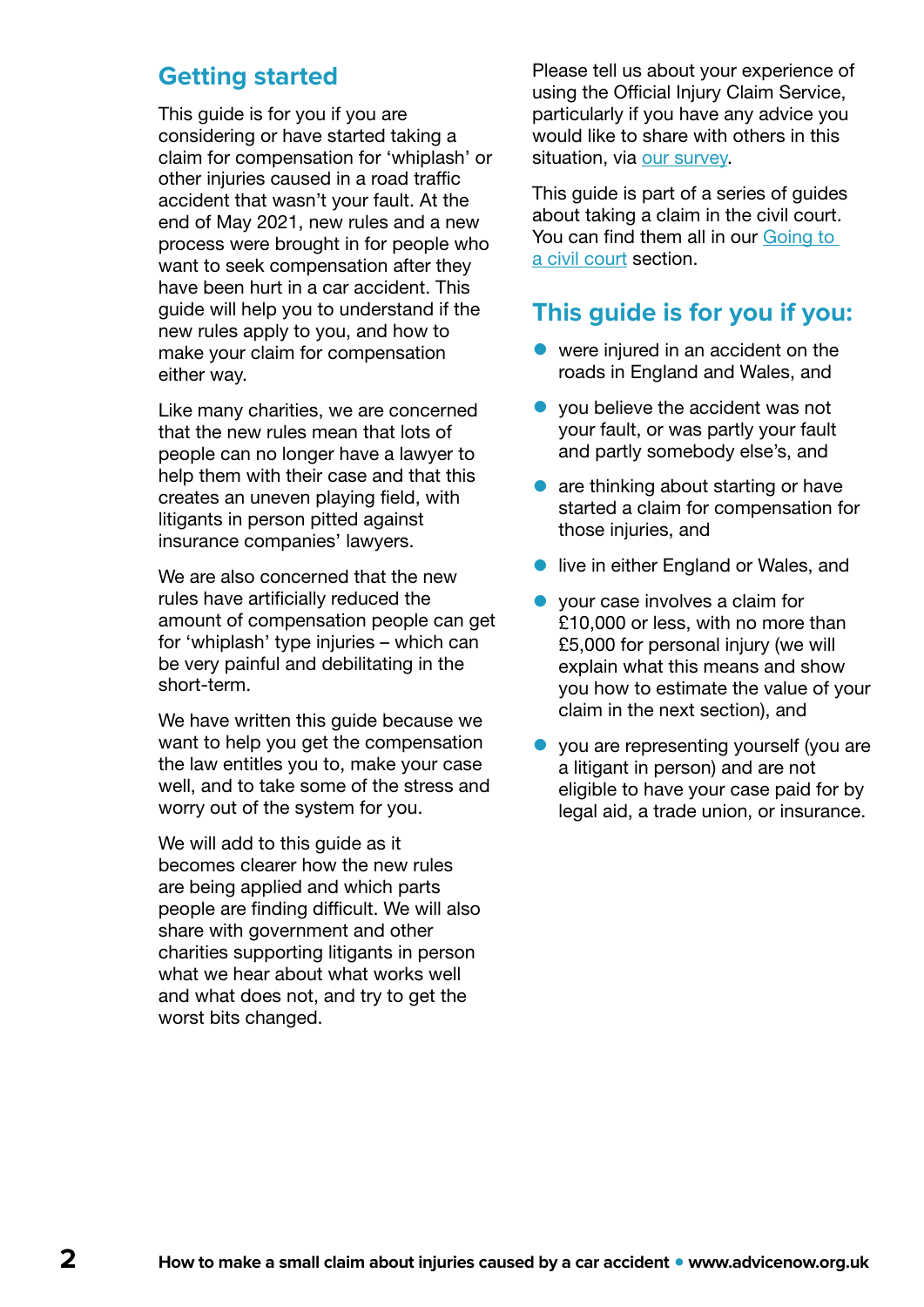### **Getting started**

This quide is for you if you are considering or have started taking a claim for compensation for 'whiplash' or other injuries caused in a road traffic accident that wasn't your fault. At the end of May 2021, new rules and a new process were brought in for people who want to seek compensation after they have been hurt in a car accident. This guide will help you to understand if the new rules apply to you, and how to make your claim for compensation either way.

Like many charities, we are concerned that the new rules mean that lots of people can no longer have a lawyer to help them with their case and that this creates an uneven playing field, with litigants in person pitted against insurance companies' lawyers.

We are also concerned that the new rules have artificially reduced the amount of compensation people can get for 'whiplash' type injuries – which can be very painful and debilitating in the short-term.

We have written this guide because we want to help you get the compensation the law entitles you to, make your case well, and to take some of the stress and worry out of the system for you.

We will add to this quide as it becomes clearer how the new rules are being applied and which parts people are finding difficult. We will also share with government and other charities supporting litigants in person what we hear about what works well and what does not, and try to get the worst bits changed.

Please tell us about your experience of using the Official Injury Claim Service, particularly if you have any advice you would like to share with others in this situation, via [our survey.](https://www.surveymonkey.co.uk/r/BQZYZFF)

This guide is part of a series of guides about taking a claim in the civil court. You can find them all in our Going to [a civil court](https://www.advicenow.org.uk/guides/going-civil-court) section.

### **This guide is for you if you:**

- were injured in an accident on the roads in England and Wales, and
- you believe the accident was not your fault, or was partly your fault and partly somebody else's, and
- are thinking about starting or have started a claim for compensation for those injuries, and
- **•** live in either England or Wales, and
- your case involves a claim for £10,000 or less, with no more than £5,000 for personal injury (we will explain what this means and show you how to estimate the value of your claim in the next section), and
- you are representing yourself (you are a litigant in person) and are not eligible to have your case paid for by legal aid, a trade union, or insurance.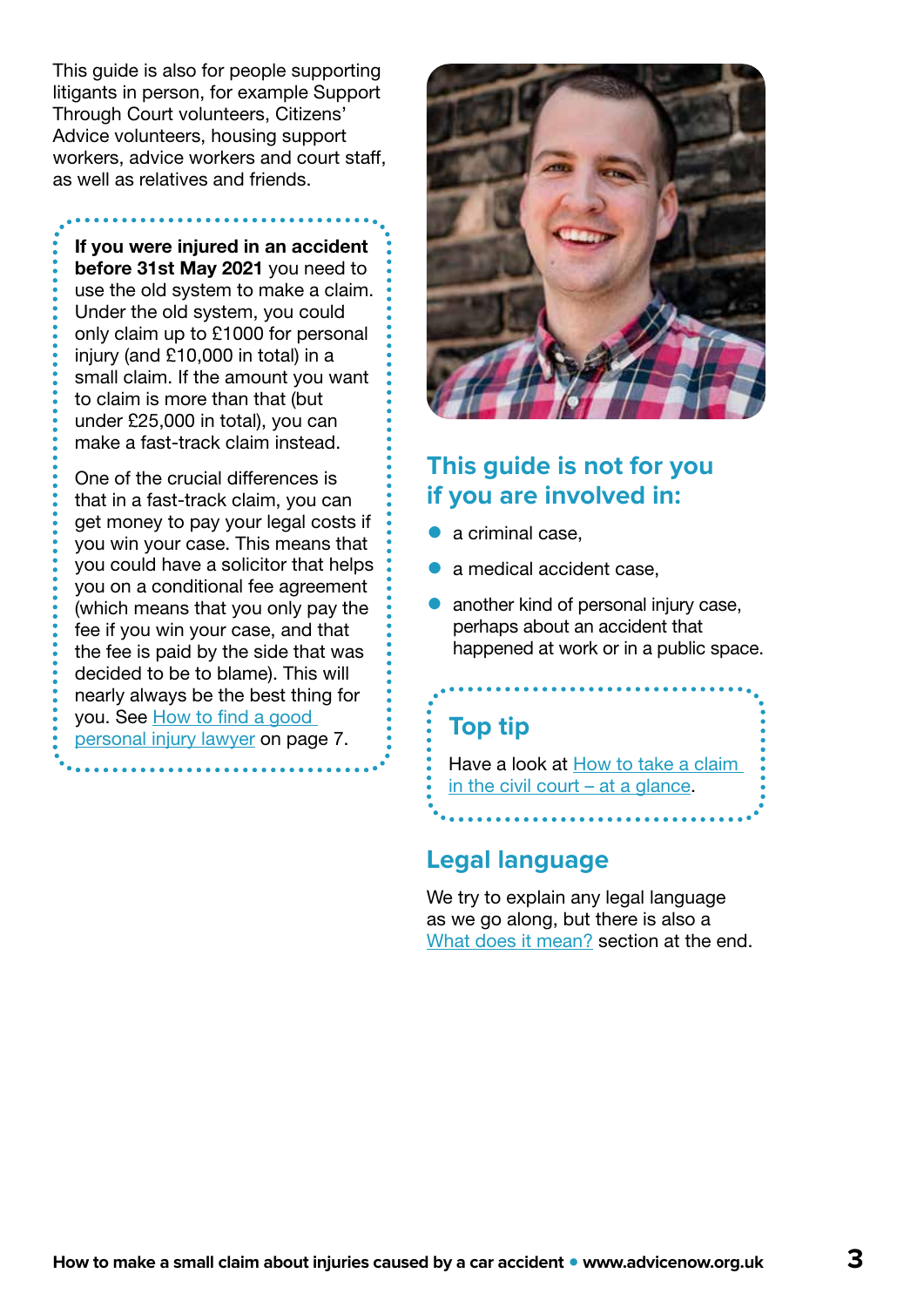This guide is also for people supporting litigants in person, for example Support Through Court volunteers, Citizens' Advice volunteers, housing support workers, advice workers and court staff, as well as relatives and friends.

If you were injured in an accident before 31st May 2021 you need to use the old system to make a claim. Under the old system, you could only claim up to £1000 for personal injury (and £10,000 in total) in a small claim. If the amount you want to claim is more than that (but under £25,000 in total), you can make a fast-track claim instead.

One of the crucial differences is that in a fast-track claim, you can get money to pay your legal costs if you win your case. This means that you could have a solicitor that helps you on a conditional fee agreement (which means that you only pay the fee if you win your case, and that the fee is paid by the side that was decided to be to blame). This will nearly always be the best thing for you. See [How to find a good](#page-6-0)  [personal injury lawyer](#page-6-0) on page 7.



### **This guide is not for you if you are involved in:**

- a criminal case,
- a medical accident case.
- another kind of personal injury case, perhaps about an accident that happened at work or in a public space.

### **Top tip**

Have a look at [How to take a claim](https://www.advicenow.org.uk/guides/how-take-claim-civil-court-glance)  [in the civil court – at a glance](https://www.advicenow.org.uk/guides/how-take-claim-civil-court-glance).

### **Legal language**

We try to explain any legal language as we go along, but there is also a [What does it mean?](#page-29-0) section at the end.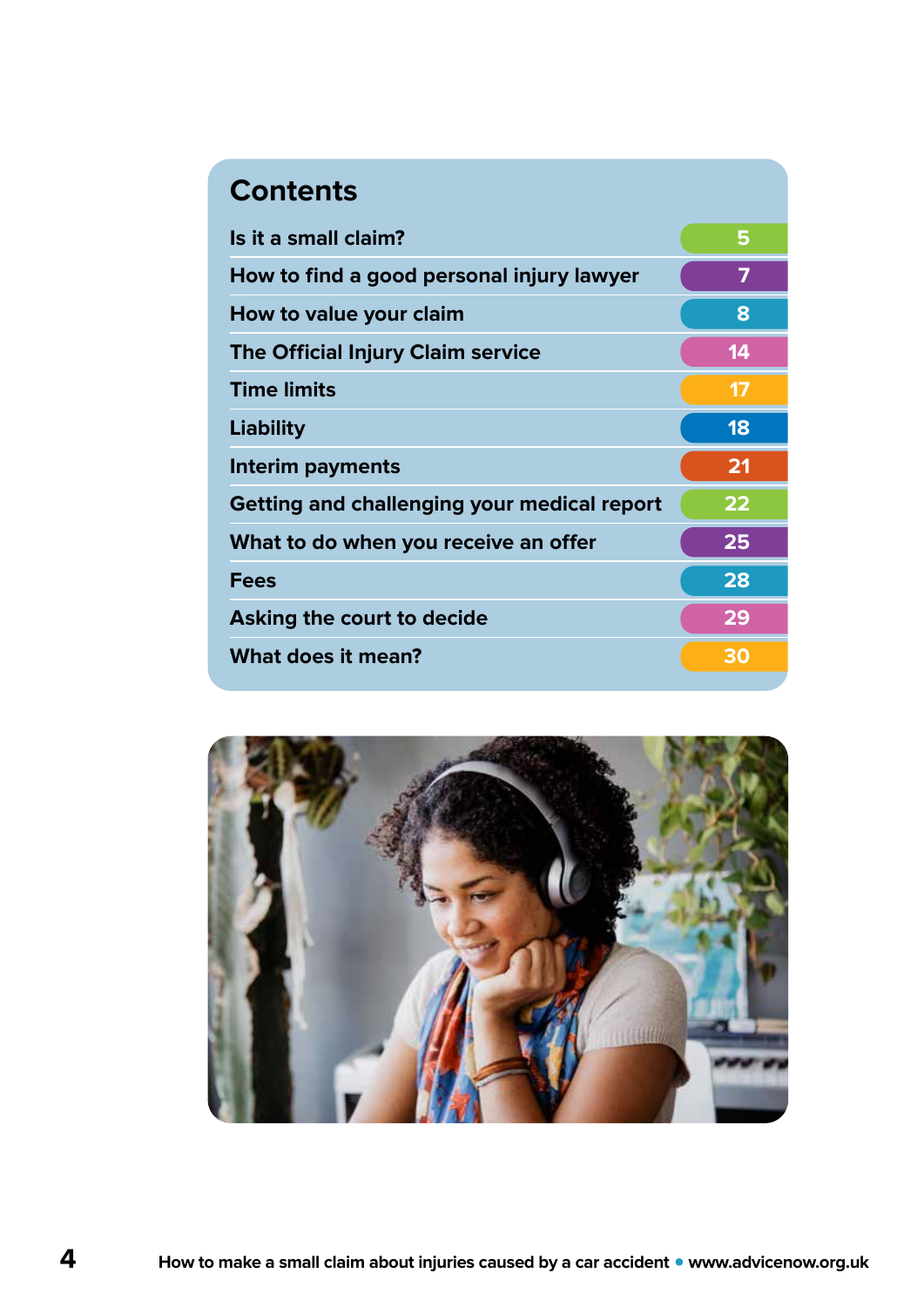### **Contents**

| Is it a small claim?                               | 5  |
|----------------------------------------------------|----|
| How to find a good personal injury lawyer          | 7  |
| How to value your claim                            | 8  |
| The Official Injury Claim service                  | 14 |
| <b>Time limits</b>                                 | 17 |
| Liability                                          | 18 |
| Interim payments                                   | 21 |
| <b>Getting and challenging your medical report</b> | 22 |
| What to do when you receive an offer               | 25 |
| <b>Fees</b>                                        | 28 |
| Asking the court to decide                         | 29 |
| What does it mean?                                 | 30 |
|                                                    |    |

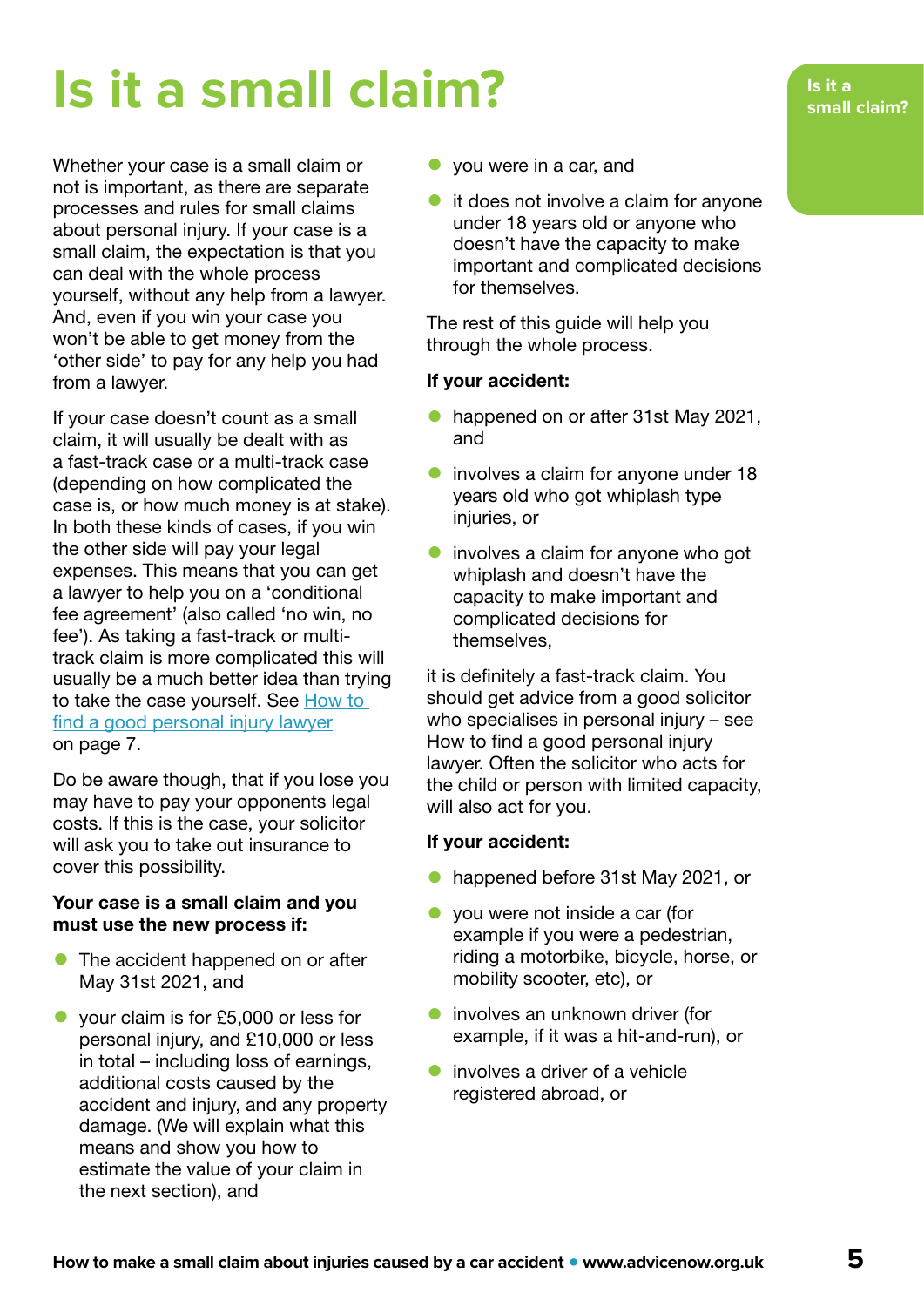## <span id="page-4-0"></span>**Is it a small claim?**

Whether your case is a small claim or not is important, as there are separate processes and rules for small claims about personal injury. If your case is a small claim, the expectation is that you can deal with the whole process yourself, without any help from a lawyer. And, even if you win your case you won't be able to get money from the 'other side' to pay for any help you had from a lawyer.

If your case doesn't count as a small claim, it will usually be dealt with as a fast-track case or a multi-track case (depending on how complicated the case is, or how much money is at stake). In both these kinds of cases, if you win the other side will pay your legal expenses. This means that you can get a lawyer to help you on a 'conditional fee agreement' (also called 'no win, no fee'). As taking a fast-track or multitrack claim is more complicated this will usually be a much better idea than trying to take the case yourself. See How to [find a good personal injury lawyer](#page-6-0) on page 7.

Do be aware though, that if you lose you may have to pay your opponents legal costs. If this is the case, your solicitor will ask you to take out insurance to cover this possibility.

### Your case is a small claim and you must use the new process if:

- The accident happened on or after May 31st 2021, and
- your claim is for £5,000 or less for personal injury, and £10,000 or less in total – including loss of earnings, additional costs caused by the accident and injury, and any property damage. (We will explain what this means and show you how to estimate the value of your claim in the next section), and
- you were in a car, and
- it does not involve a claim for anyone under 18 years old or anyone who doesn't have the capacity to make important and complicated decisions for themselves.

The rest of this guide will help you through the whole process.

### If your accident:

- happened on or after 31st May 2021, and
- **•** involves a claim for anyone under 18 years old who got whiplash type injuries, or
- involves a claim for anyone who got whiplash and doesn't have the capacity to make important and complicated decisions for themselves,

it is definitely a fast-track claim. You should get advice from a good solicitor who specialises in personal injury – see How to find a good personal injury lawyer. Often the solicitor who acts for the child or person with limited capacity, will also act for you.

### If your accident:

- happened before 31st May 2021, or
- you were not inside a car (for example if you were a pedestrian, riding a motorbike, bicycle, horse, or mobility scooter, etc), or
- **•** involves an unknown driver (for example, if it was a hit-and-run), or
- involves a driver of a vehicle registered abroad, or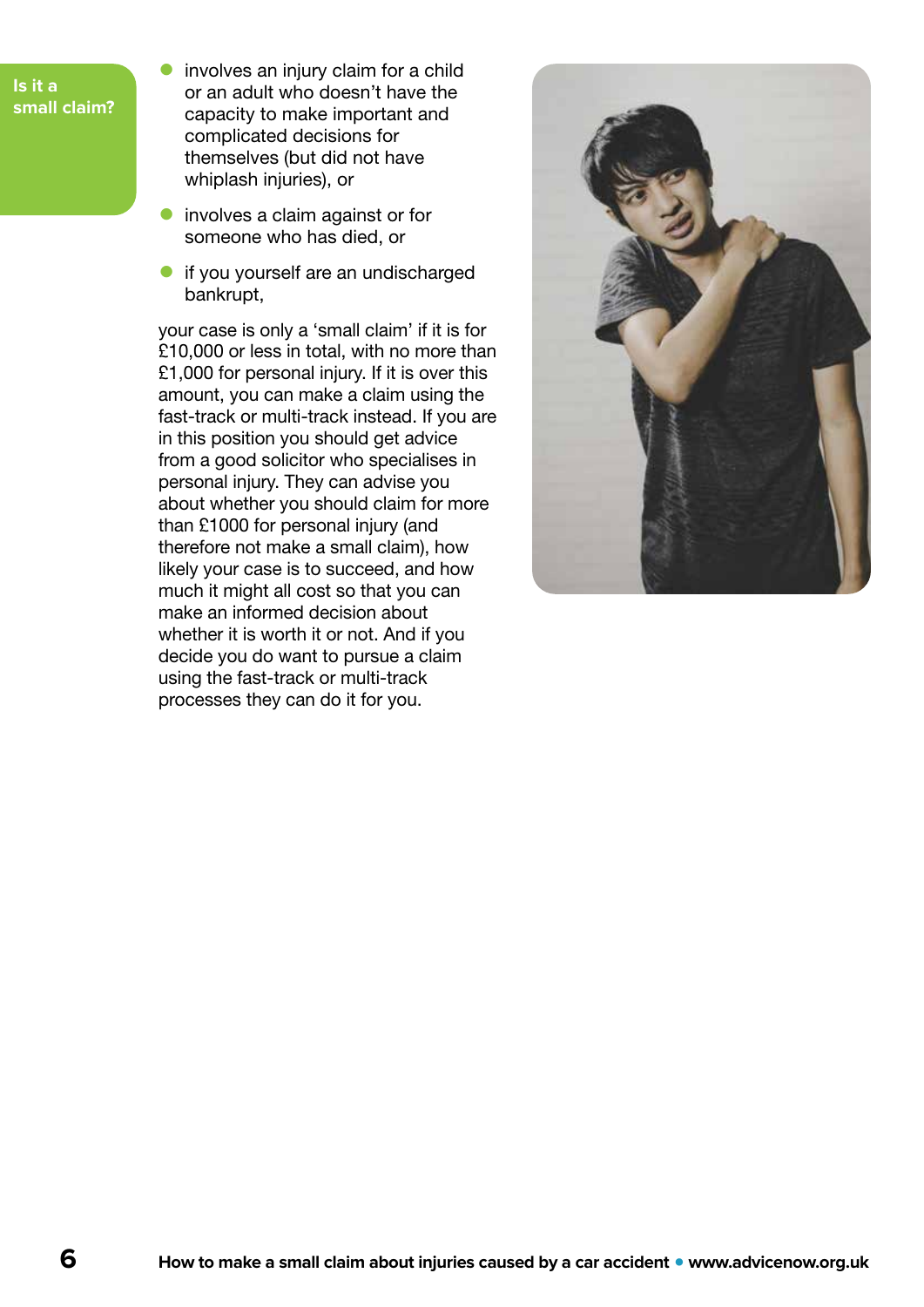- **Is it a small claim?**
- involves an injury claim for a child or an adult who doesn't have the capacity to make important and complicated decisions for themselves (but did not have whiplash injuries), or
- **•** involves a claim against or for someone who has died, or
- if you yourself are an undischarged bankrupt,

your case is only a 'small claim' if it is for £10,000 or less in total, with no more than £1,000 for personal injury. If it is over this amount, you can make a claim using the fast-track or multi-track instead. If you are in this position you should get advice from a good solicitor who specialises in personal injury. They can advise you about whether you should claim for more than £1000 for personal injury (and therefore not make a small claim), how likely your case is to succeed, and how much it might all cost so that you can make an informed decision about whether it is worth it or not. And if you decide you do want to pursue a claim using the fast-track or multi-track processes they can do it for you.

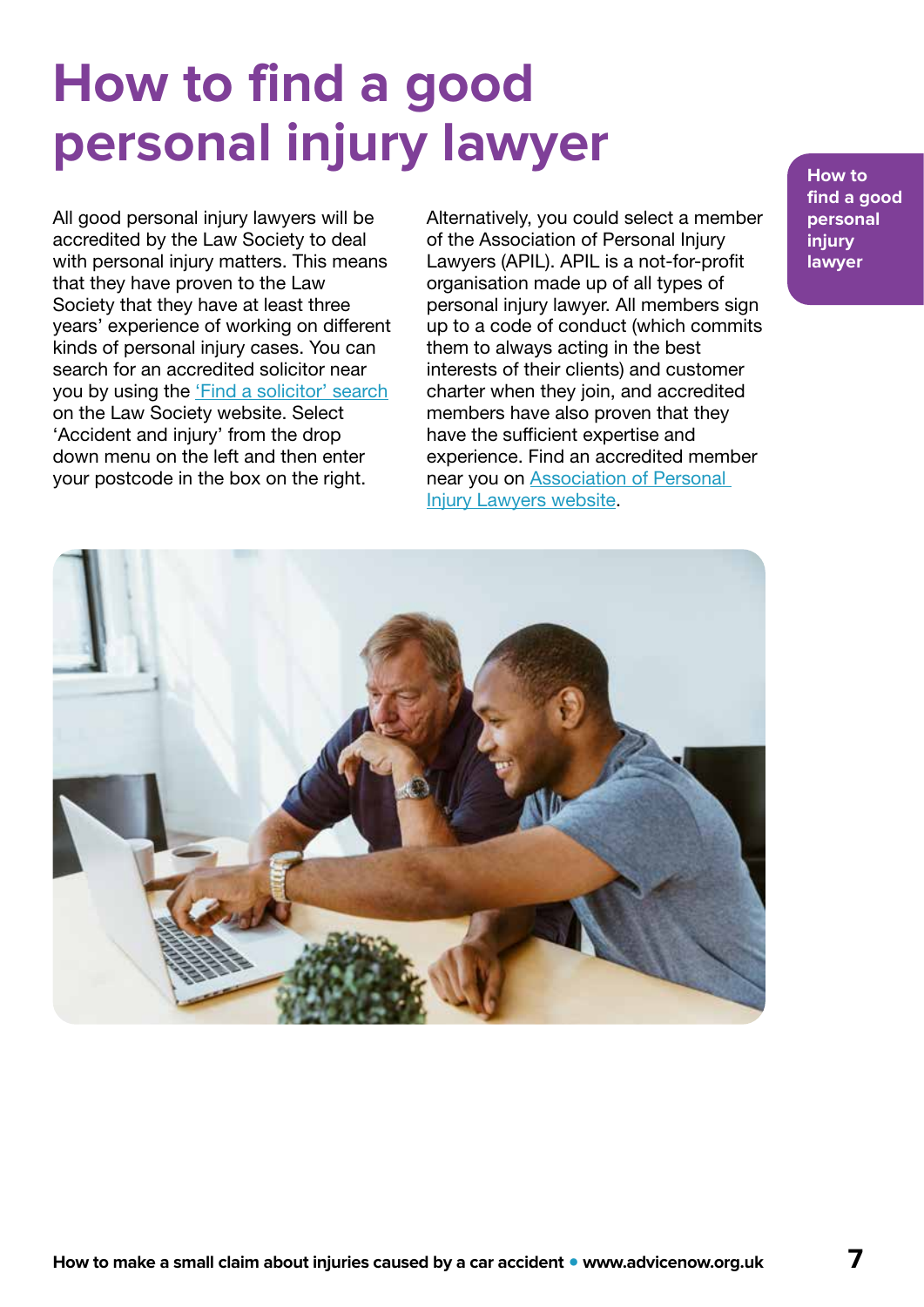## <span id="page-6-0"></span>**How to find a good personal injury lawyer**

All good personal injury lawyers will be accredited by the Law Society to deal with personal injury matters. This means that they have proven to the Law Society that they have at least three years' experience of working on different kinds of personal injury cases. You can search for an accredited solicitor near you by using the ['Find a solicitor' search](https://solicitors.lawsociety.org.uk/) on the Law Society website. Select 'Accident and injury' from the drop down menu on the left and then enter your postcode in the box on the right.

Alternatively, you could select a member of the Association of Personal Injury Lawyers (APIL). APIL is a not-for-profit organisation made up of all types of personal injury lawyer. All members sign up to a code of conduct (which commits them to always acting in the best interests of their clients) and customer charter when they join, and accredited members have also proven that they have the sufficient expertise and experience. Find an accredited member near you on [Association of Personal](https://www.apil.org.uk/injury-lawyers/road-accident-lawyer)  [Injury Lawyers website.](https://www.apil.org.uk/injury-lawyers/road-accident-lawyer)

**How to find a good personal injury lawyer**

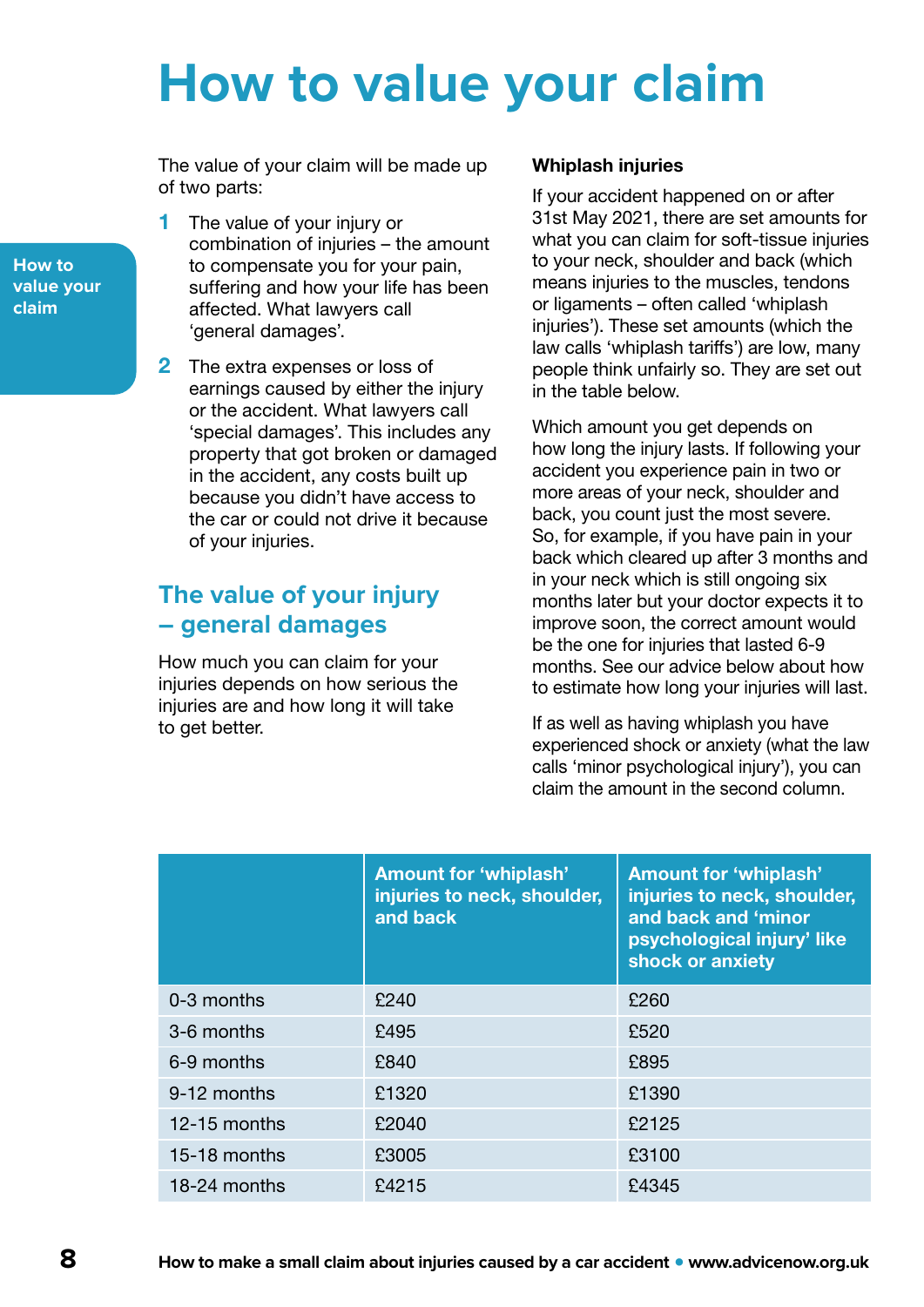## <span id="page-7-0"></span>**How to value your claim**

The value of your claim will be made up of two parts:

**1** The value of your injury or combination of injuries – the amount to compensate you for your pain, suffering and how your life has been affected. What lawyers call 'general damages'.

2 The extra expenses or loss of earnings caused by either the injury or the accident. What lawyers call 'special damages'. This includes any property that got broken or damaged in the accident, any costs built up because you didn't have access to the car or could not drive it because of your injuries.

### **The value of your injury – general damages**

How much you can claim for your injuries depends on how serious the injuries are and how long it will take to get better.

### Whiplash injuries

If your accident happened on or after 31st May 2021, there are set amounts for what you can claim for soft-tissue injuries to your neck, shoulder and back (which means injuries to the muscles, tendons or ligaments – often called 'whiplash injuries'). These set amounts (which the law calls 'whiplash tariffs') are low, many people think unfairly so. They are set out in the table below.

Which amount you get depends on how long the injury lasts. If following your accident you experience pain in two or more areas of your neck, shoulder and back, you count just the most severe. So, for example, if you have pain in your back which cleared up after 3 months and in your neck which is still ongoing six months later but your doctor expects it to improve soon, the correct amount would be the one for injuries that lasted 6-9 months. See our advice below about how to estimate how long your injuries will last.

If as well as having whiplash you have experienced shock or anxiety (what the law calls 'minor psychological injury'), you can claim the amount in the second column.

|              | <b>Amount for 'whiplash'</b><br>injuries to neck, shoulder,<br>and back | <b>Amount for 'whiplash'</b><br>injuries to neck, shoulder,<br>and back and 'minor<br>psychological injury' like<br>shock or anxiety |
|--------------|-------------------------------------------------------------------------|--------------------------------------------------------------------------------------------------------------------------------------|
| 0-3 months   | £240                                                                    | £260                                                                                                                                 |
| 3-6 months   | £495                                                                    | £520                                                                                                                                 |
| 6-9 months   | £840                                                                    | £895                                                                                                                                 |
| 9-12 months  | £1320                                                                   | £1390                                                                                                                                |
| 12-15 months | £2040                                                                   | £2125                                                                                                                                |
| 15-18 months | £3005                                                                   | £3100                                                                                                                                |
| 18-24 months | £4215                                                                   | £4345                                                                                                                                |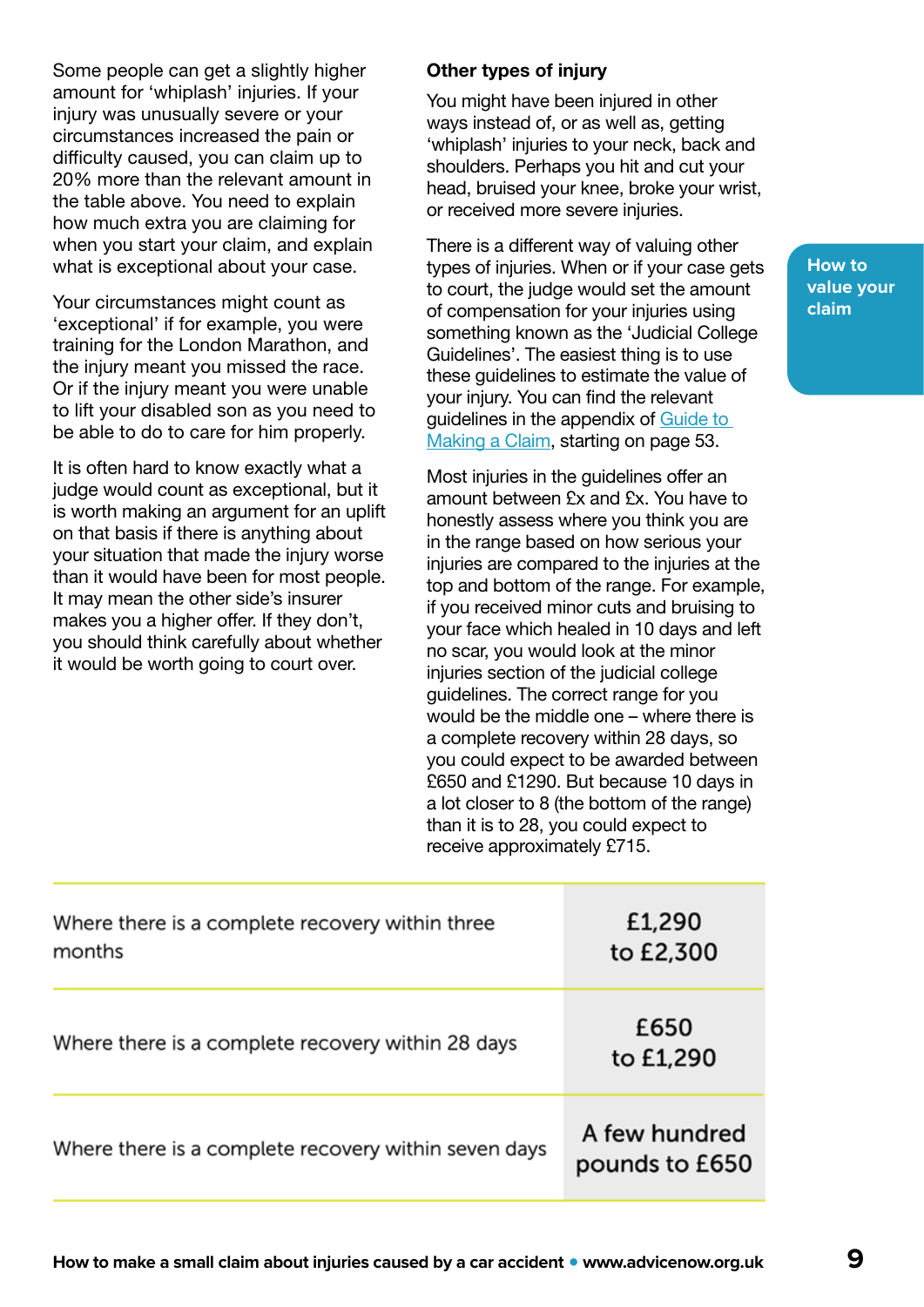Some people can get a slightly higher amount for 'whiplash' injuries. If your injury was unusually severe or your circumstances increased the pain or difficulty caused, you can claim up to 20% more than the relevant amount in the table above. You need to explain how much extra you are claiming for when you start your claim, and explain what is exceptional about your case.

Your circumstances might count as 'exceptional' if for example, you were training for the London Marathon, and the injury meant you missed the race. Or if the injury meant you were unable to lift your disabled son as you need to be able to do to care for him properly.

It is often hard to know exactly what a judge would count as exceptional, but it is worth making an argument for an uplift on that basis if there is anything about your situation that made the injury worse than it would have been for most people. It may mean the other side's insurer makes you a higher offer. If they don't, you should think carefully about whether it would be worth going to court over.

### Other types of injury

You might have been injured in other ways instead of, or as well as, getting 'whiplash' injuries to your neck, back and shoulders. Perhaps you hit and cut your head, bruised your knee, broke your wrist, or received more severe injuries.

There is a different way of valuing other types of injuries. When or if your case gets to court, the judge would set the amount of compensation for your injuries using something known as the 'Judicial College Guidelines'. The easiest thing is to use these guidelines to estimate the value of your injury. You can find the relevant guidelines in the appendix of [Guide to](https://www.officialinjuryclaim.org.uk/media/1141/guide-to-making-a-claim-version-20-april-2021.pdf)  [Making a Claim,](https://www.officialinjuryclaim.org.uk/media/1141/guide-to-making-a-claim-version-20-april-2021.pdf) starting on page 53.

Most injuries in the quidelines offer an amount between £x and £x. You have to honestly assess where you think you are in the range based on how serious your injuries are compared to the injuries at the top and bottom of the range. For example, if you received minor cuts and bruising to your face which healed in 10 days and left no scar, you would look at the minor injuries section of the judicial college guidelines. The correct range for you would be the middle one – where there is a complete recovery within 28 days, so you could expect to be awarded between £650 and £1290. But because 10 days in a lot closer to 8 (the bottom of the range) than it is to 28, you could expect to receive approximately £715.

| Where there is a complete recovery within three<br>months | £1,290<br>to £2,300             |
|-----------------------------------------------------------|---------------------------------|
| Where there is a complete recovery within 28 days         | £650<br>to £1,290               |
| Where there is a complete recovery within seven days      | A few hundred<br>pounds to £650 |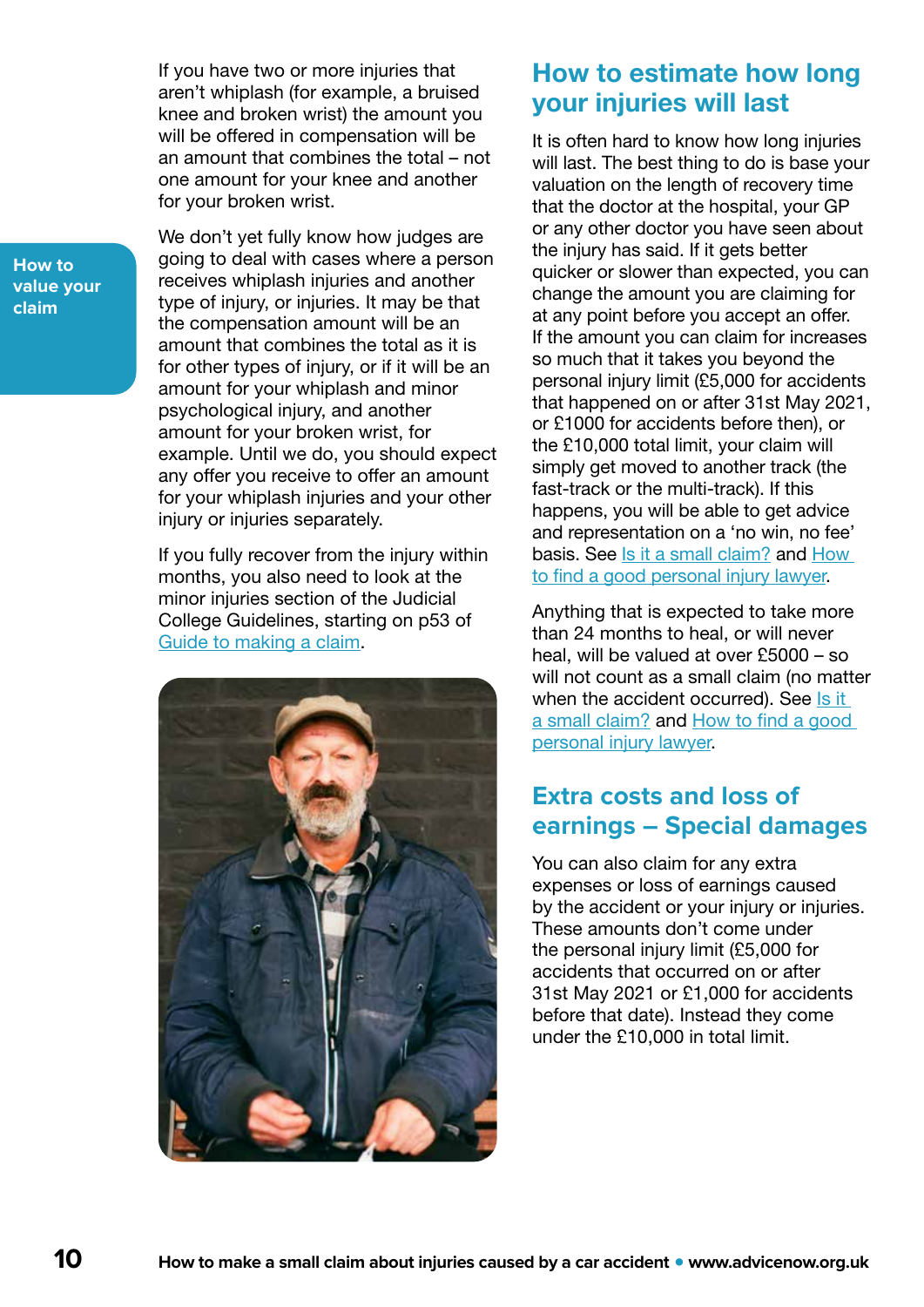<span id="page-9-0"></span>If you have two or more injuries that aren't whiplash (for example, a bruised knee and broken wrist) the amount you will be offered in compensation will be an amount that combines the total – not one amount for your knee and another for your broken wrist.

We don't yet fully know how judges are going to deal with cases where a person receives whiplash injuries and another type of injury, or injuries. It may be that the compensation amount will be an amount that combines the total as it is for other types of injury, or if it will be an amount for your whiplash and minor psychological injury, and another amount for your broken wrist, for example. Until we do, you should expect any offer you receive to offer an amount for your whiplash injuries and your other injury or injuries separately.

If you fully recover from the injury within months, you also need to look at the minor injuries section of the Judicial College Guidelines, starting on p53 of [Guide to making a claim](https://www.officialinjuryclaim.org.uk/media/1141/guide-to-making-a-claim-version-20-april-2021.pdf).



### How to estimate how long your injuries will last

It is often hard to know how long injuries will last. The best thing to do is base your valuation on the length of recovery time that the doctor at the hospital, your GP or any other doctor you have seen about the injury has said. If it gets better quicker or slower than expected, you can change the amount you are claiming for at any point before you accept an offer. If the amount you can claim for increases so much that it takes you beyond the personal injury limit (£5,000 for accidents that happened on or after 31st May 2021, or £1000 for accidents before then), or the £10,000 total limit, your claim will simply get moved to another track (the fast-track or the multi-track). If this happens, you will be able to get advice and representation on a 'no win, no fee' basis. See [Is it a small claim?](#page-4-0) and How [to find a good personal injury lawyer](#page-6-0).

Anything that is expected to take more than 24 months to heal, or will never heal, will be valued at over £5000 – so will not count as a small claim (no matter when the accident occurred). See Is it [a small claim?](#page-4-0) and [How to find a good](#page-6-0)  [personal injury lawyer](#page-6-0).

### **Extra costs and loss of earnings – Special damages**

You can also claim for any extra expenses or loss of earnings caused by the accident or your injury or injuries. These amounts don't come under the personal injury limit (£5,000 for accidents that occurred on or after 31st May 2021 or £1,000 for accidents before that date). Instead they come under the £10,000 in total limit.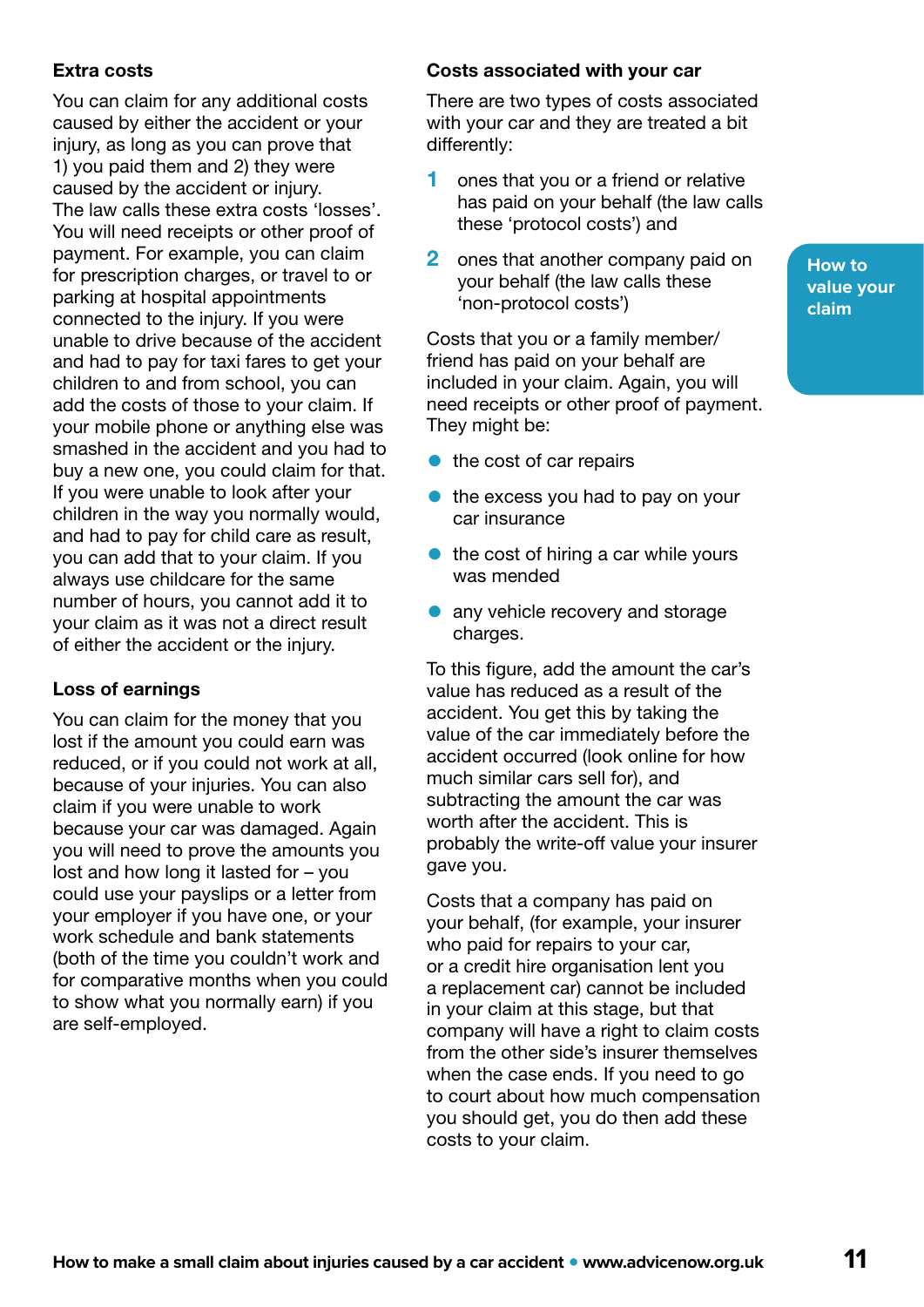### Extra costs

You can claim for any additional costs caused by either the accident or your injury, as long as you can prove that 1) you paid them and 2) they were caused by the accident or injury. The law calls these extra costs 'losses'. You will need receipts or other proof of payment. For example, you can claim for prescription charges, or travel to or parking at hospital appointments connected to the injury. If you were unable to drive because of the accident and had to pay for taxi fares to get your children to and from school, you can add the costs of those to your claim. If your mobile phone or anything else was smashed in the accident and you had to buy a new one, you could claim for that. If you were unable to look after your children in the way you normally would, and had to pay for child care as result, you can add that to your claim. If you always use childcare for the same number of hours, you cannot add it to your claim as it was not a direct result of either the accident or the injury.

### Loss of earnings

You can claim for the money that you lost if the amount you could earn was reduced, or if you could not work at all, because of your injuries. You can also claim if you were unable to work because your car was damaged. Again you will need to prove the amounts you lost and how long it lasted for – you could use your payslips or a letter from your employer if you have one, or your work schedule and bank statements (both of the time you couldn't work and for comparative months when you could to show what you normally earn) if you are self-employed.

### Costs associated with your car

There are two types of costs associated with your car and they are treated a bit differently:

- 1 ones that you or a friend or relative has paid on your behalf (the law calls these 'protocol costs') and
- 2 ones that another company paid on your behalf (the law calls these 'non-protocol costs')

Costs that you or a family member/ friend has paid on your behalf are included in your claim. Again, you will need receipts or other proof of payment. They might be:

- $\bullet$  the cost of car repairs
- $\bullet$  the excess you had to pay on your car insurance
- the cost of hiring a car while yours was mended
- any vehicle recovery and storage charges.

To this figure, add the amount the car's value has reduced as a result of the accident. You get this by taking the value of the car immediately before the accident occurred (look online for how much similar cars sell for), and subtracting the amount the car was worth after the accident. This is probably the write-off value your insurer gave you.

Costs that a company has paid on your behalf, (for example, your insurer who paid for repairs to your car, or a credit hire organisation lent you a replacement car) cannot be included in your claim at this stage, but that company will have a right to claim costs from the other side's insurer themselves when the case ends. If you need to go to court about how much compensation you should get, you do then add these costs to your claim.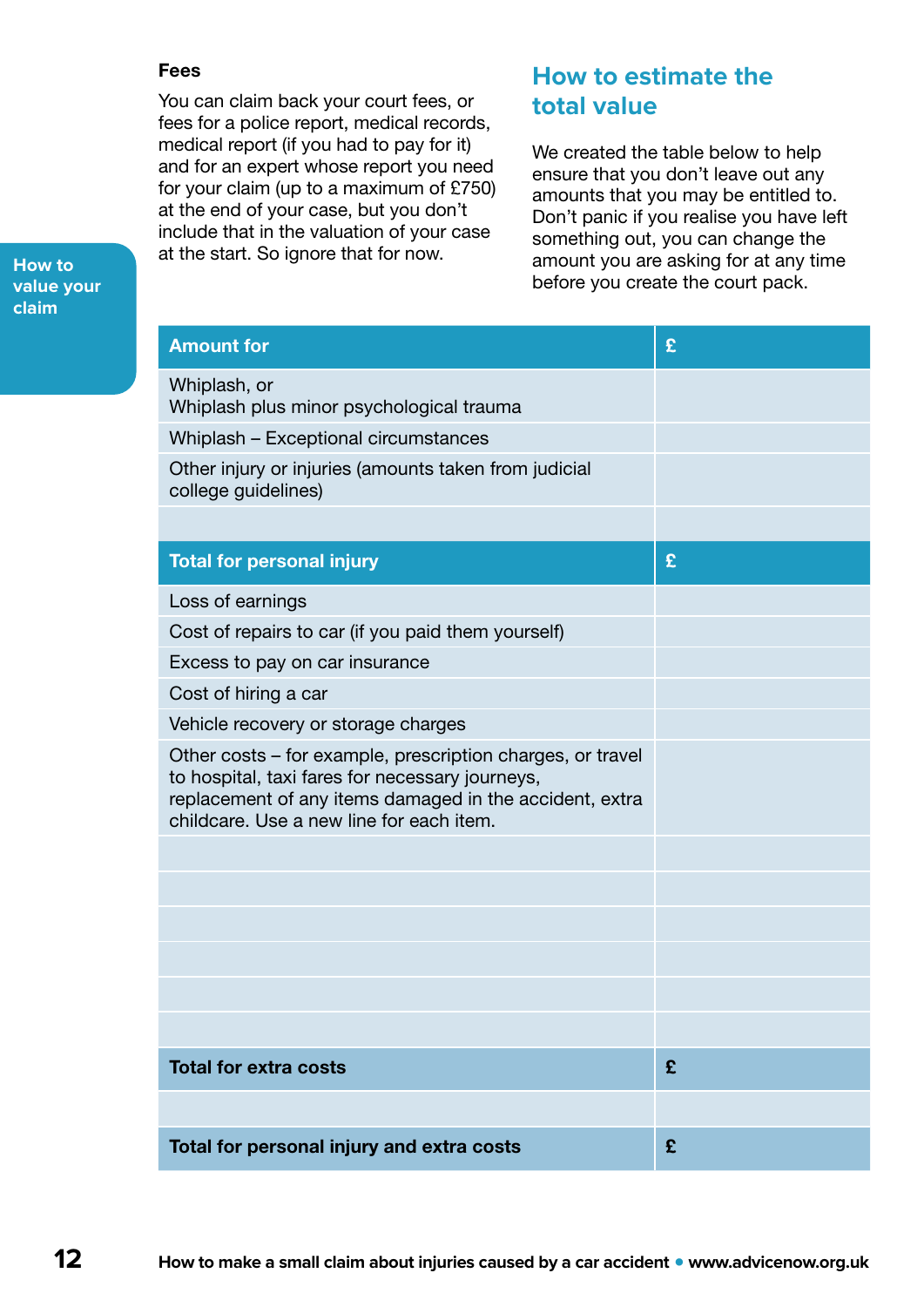### Fees

You can claim back your court fees, or fees for a police report, medical records, medical report (if you had to pay for it) and for an expert whose report you need for your claim (up to a maximum of £750) at the end of your case, but you don't include that in the valuation of your case at the start. So ignore that for now.

### **How to estimate the total value**

We created the table below to help ensure that you don't leave out any amounts that you may be entitled to. Don't panic if you realise you have left something out, you can change the amount you are asking for at any time before you create the court pack.

| <b>Amount for</b>                                                                                                                                                                                                    | £ |
|----------------------------------------------------------------------------------------------------------------------------------------------------------------------------------------------------------------------|---|
| Whiplash, or<br>Whiplash plus minor psychological trauma                                                                                                                                                             |   |
| Whiplash - Exceptional circumstances                                                                                                                                                                                 |   |
| Other injury or injuries (amounts taken from judicial<br>college guidelines)                                                                                                                                         |   |
| <b>Total for personal injury</b>                                                                                                                                                                                     | £ |
| Loss of earnings                                                                                                                                                                                                     |   |
| Cost of repairs to car (if you paid them yourself)                                                                                                                                                                   |   |
| Excess to pay on car insurance                                                                                                                                                                                       |   |
| Cost of hiring a car                                                                                                                                                                                                 |   |
| Vehicle recovery or storage charges                                                                                                                                                                                  |   |
| Other costs - for example, prescription charges, or travel<br>to hospital, taxi fares for necessary journeys,<br>replacement of any items damaged in the accident, extra<br>childcare. Use a new line for each item. |   |
|                                                                                                                                                                                                                      |   |
|                                                                                                                                                                                                                      |   |
|                                                                                                                                                                                                                      |   |
|                                                                                                                                                                                                                      |   |
|                                                                                                                                                                                                                      |   |
|                                                                                                                                                                                                                      |   |
| <b>Total for extra costs</b>                                                                                                                                                                                         | £ |
|                                                                                                                                                                                                                      |   |
| Total for personal injury and extra costs                                                                                                                                                                            | £ |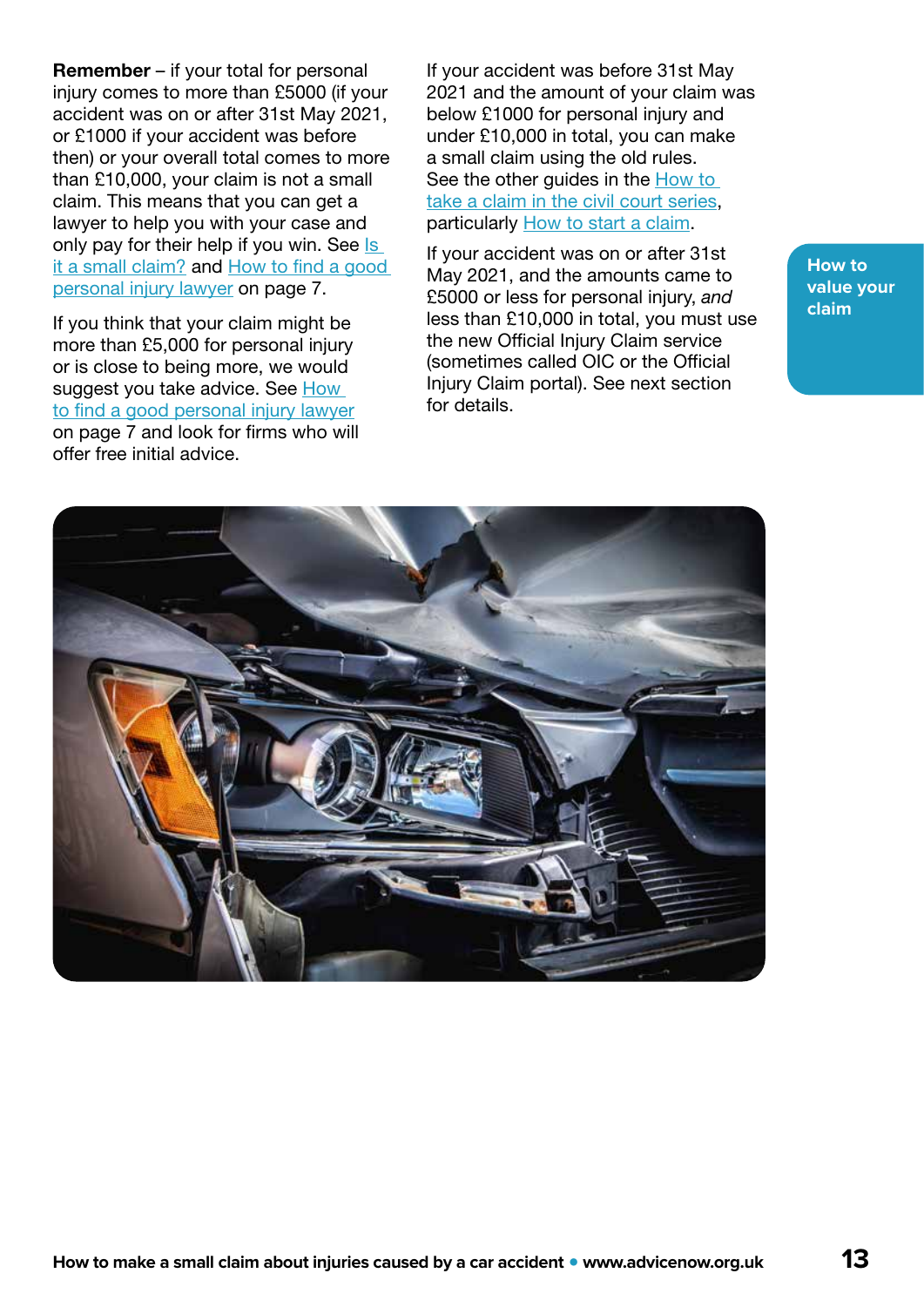Remember – if your total for personal injury comes to more than £5000 (if your accident was on or after 31st May 2021, or £1000 if your accident was before then) or your overall total comes to more than £10,000, your claim is not a small claim. This means that you can get a lawyer to help you with your case and only pay for their help if you win. See Is [it a small claim?](#page-4-0) and [How to find a good](#page-6-0)  [personal injury lawyer](#page-6-0) on page 7.

If you think that your claim might be more than £5,000 for personal injury or is close to being more, we would suggest you take advice. See How [to find a good personal injury lawyer](#page-6-0) on page 7 and look for firms who will offer free initial advice.

If your accident was before 31st May 2021 and the amount of your claim was below £1000 for personal injury and under £10,000 in total, you can make a small claim using the old rules. See the other guides in the How to [take a claim in the civil court series](https://www.advicenow.org.uk/guides/going-civil-court), particularly [How to start a claim.](https://www.advicenow.org.uk/guides/how-start-civil-claim)

If your accident was on or after 31st May 2021, and the amounts came to £5000 or less for personal injury, *and* less than £10,000 in total, you must use the new Official Injury Claim service (sometimes called OIC or the Official Injury Claim portal). See next section for details.

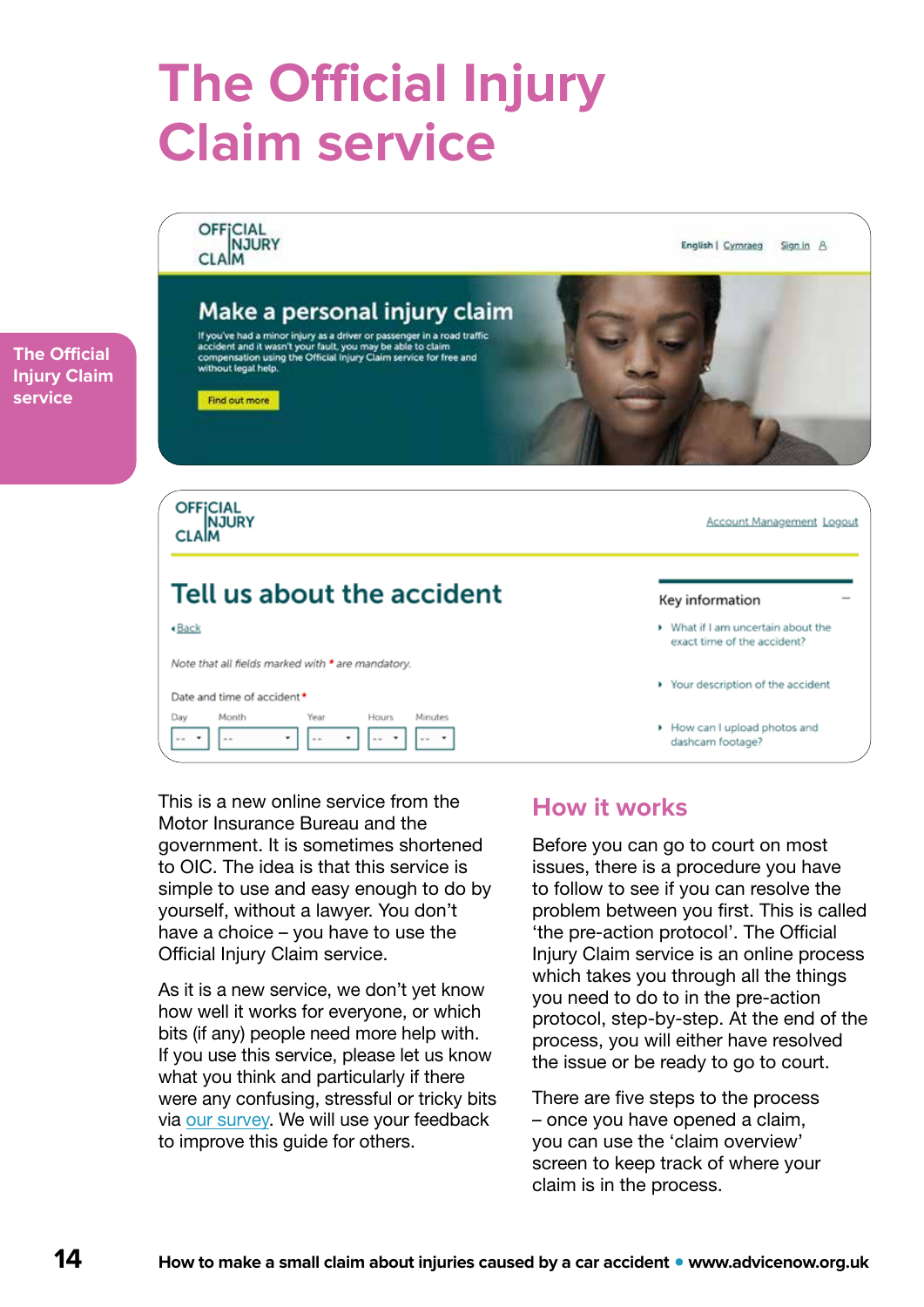## <span id="page-13-0"></span>**The Official Injury Claim service**

OFFICIAL CLAM English | Cymraeg Sign in A Make a personal injury claim If you've had a minor injury as a driver or passenger in a road traffic accident and it wasn't your fault, you may be able to claim<br>compensation using the Official injury Claim service for free and<br>without legal help. Find out more **OFFICIAL** CLAM Account Management Logout Tell us about the accident Key information «Back What if I am uncertain about the exact time of the accident? Note that all fields marked with \* are mandatory. > Your description of the accident Date and time of accident\* Month Day Year Hours Minutes How can I upload photos and  $\bar{\bar{z}}$  $\ddot{\phantom{a}}$ dashcam footage?

This is a new online service from the Motor Insurance Bureau and the government. It is sometimes shortened to OIC. The idea is that this service is simple to use and easy enough to do by yourself, without a lawyer. You don't have a choice – you have to use the Official Injury Claim service.

As it is a new service, we don't yet know how well it works for everyone, or which bits (if any) people need more help with. If you use this service, please let us know what you think and particularly if there were any confusing, stressful or tricky bits via [our survey](https://www.surveymonkey.co.uk/r/BQZYZFF). We will use your feedback to improve this guide for others.

### **How it works**

Before you can go to court on most issues, there is a procedure you have to follow to see if you can resolve the problem between you first. This is called 'the pre-action protocol'. The Official Injury Claim service is an online process which takes you through all the things you need to do to in the pre-action protocol, step-by-step. At the end of the process, you will either have resolved the issue or be ready to go to court.

There are five steps to the process – once you have opened a claim, you can use the 'claim overview' screen to keep track of where your claim is in the process.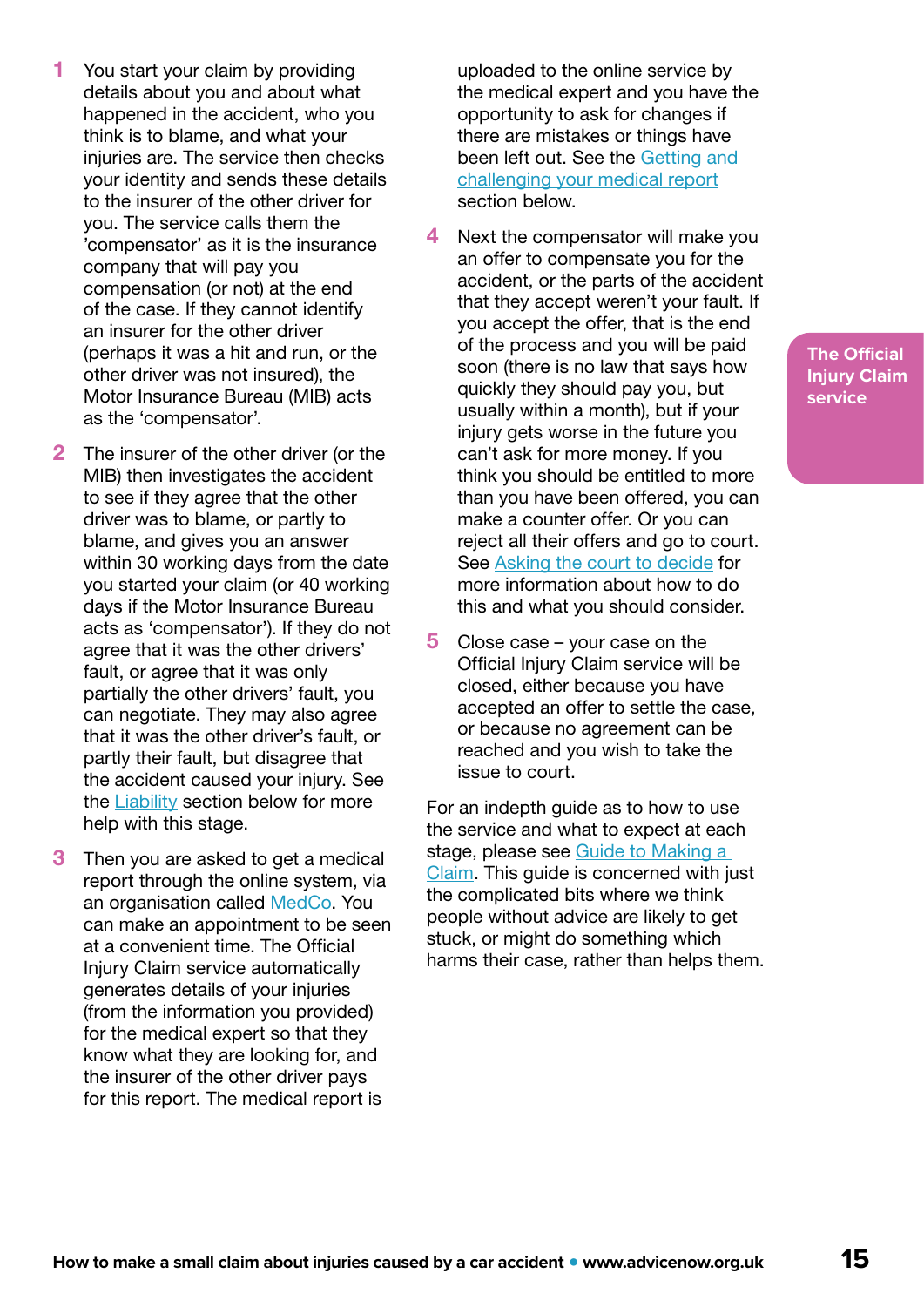- 1 You start your claim by providing details about you and about what happened in the accident, who you think is to blame, and what your injuries are. The service then checks your identity and sends these details to the insurer of the other driver for you. The service calls them the 'compensator' as it is the insurance company that will pay you compensation (or not) at the end of the case. If they cannot identify an insurer for the other driver (perhaps it was a hit and run, or the other driver was not insured), the Motor Insurance Bureau (MIB) acts as the 'compensator'.
- 2 The insurer of the other driver (or the MIB) then investigates the accident to see if they agree that the other driver was to blame, or partly to blame, and gives you an answer within 30 working days from the date you started your claim (or 40 working days if the Motor Insurance Bureau acts as 'compensator'). If they do not agree that it was the other drivers' fault, or agree that it was only partially the other drivers' fault, you can negotiate. They may also agree that it was the other driver's fault, or partly their fault, but disagree that the accident caused your injury. See the **[Liability](#page-17-0)** section below for more help with this stage.
- **3** Then you are asked to get a medical report through the online system, via an organisation called [MedCo.](https://www.medco.org.uk/) You can make an appointment to be seen at a convenient time. The Official Injury Claim service automatically generates details of your injuries (from the information you provided) for the medical expert so that they know what they are looking for, and the insurer of the other driver pays for this report. The medical report is

uploaded to the online service by the medical expert and you have the opportunity to ask for changes if there are mistakes or things have been left out. See the Getting and [challenging your medical report](#page-21-0) section below.

- 4 Next the compensator will make you an offer to compensate you for the accident, or the parts of the accident that they accept weren't your fault. If you accept the offer, that is the end of the process and you will be paid soon (there is no law that says how quickly they should pay you, but usually within a month), but if your injury gets worse in the future you can't ask for more money. If you think you should be entitled to more than you have been offered, you can make a counter offer. Or you can reject all their offers and go to court. See [Asking the court to decide](#page-28-0) for more information about how to do this and what you should consider.
- 5 Close case your case on the Official Injury Claim service will be closed, either because you have accepted an offer to settle the case, or because no agreement can be reached and you wish to take the issue to court.

For an indepth guide as to how to use the service and what to expect at each stage, please see [Guide to Making a](https://www.officialinjuryclaim.org.uk/media/1141/guide-to-making-a-claim-version-20-april-2021.pdf)  [Claim](https://www.officialinjuryclaim.org.uk/media/1141/guide-to-making-a-claim-version-20-april-2021.pdf). This guide is concerned with just the complicated bits where we think people without advice are likely to get stuck, or might do something which harms their case, rather than helps them.

**The Official Injury Claim service**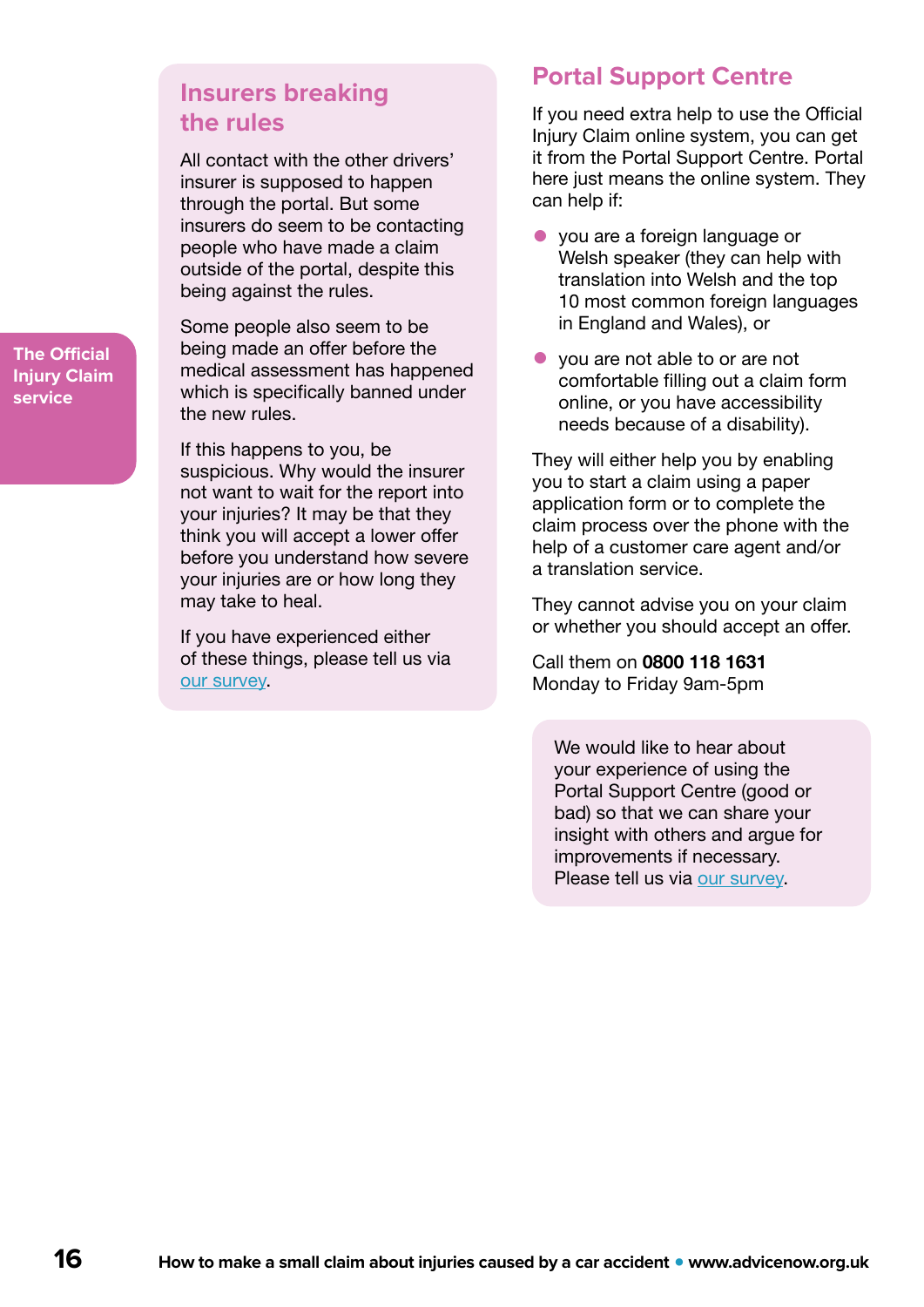### **Insurers breaking the rules**

All contact with the other drivers' insurer is supposed to happen through the portal. But some insurers do seem to be contacting people who have made a claim outside of the portal, despite this being against the rules.

Some people also seem to be being made an offer before the medical assessment has happened which is specifically banned under the new rules.

If this happens to you, be suspicious. Why would the insurer not want to wait for the report into your injuries? It may be that they think you will accept a lower offer before you understand how severe your injuries are or how long they may take to heal.

If you have experienced either of these things, please tell us via [our survey](https://www.surveymonkey.co.uk/r/BQZYZFF).

### **Portal Support Centre**

If you need extra help to use the Official Injury Claim online system, you can get it from the Portal Support Centre. Portal here just means the online system. They can help if:

- you are a foreign language or Welsh speaker (they can help with translation into Welsh and the top 10 most common foreign languages in England and Wales), or
- you are not able to or are not comfortable filling out a claim form online, or you have accessibility needs because of a disability).

They will either help you by enabling you to start a claim using a paper application form or to complete the claim process over the phone with the help of a customer care agent and/or a translation service.

They cannot advise you on your claim or whether you should accept an offer.

Call them on 0800 118 1631 Monday to Friday 9am-5pm

We would like to hear about your experience of using the Portal Support Centre (good or bad) so that we can share your insight with others and argue for improvements if necessary. Please tell us via [our survey.](https://www.surveymonkey.co.uk/r/BQZYZFF)

**The Official Injury Claim service**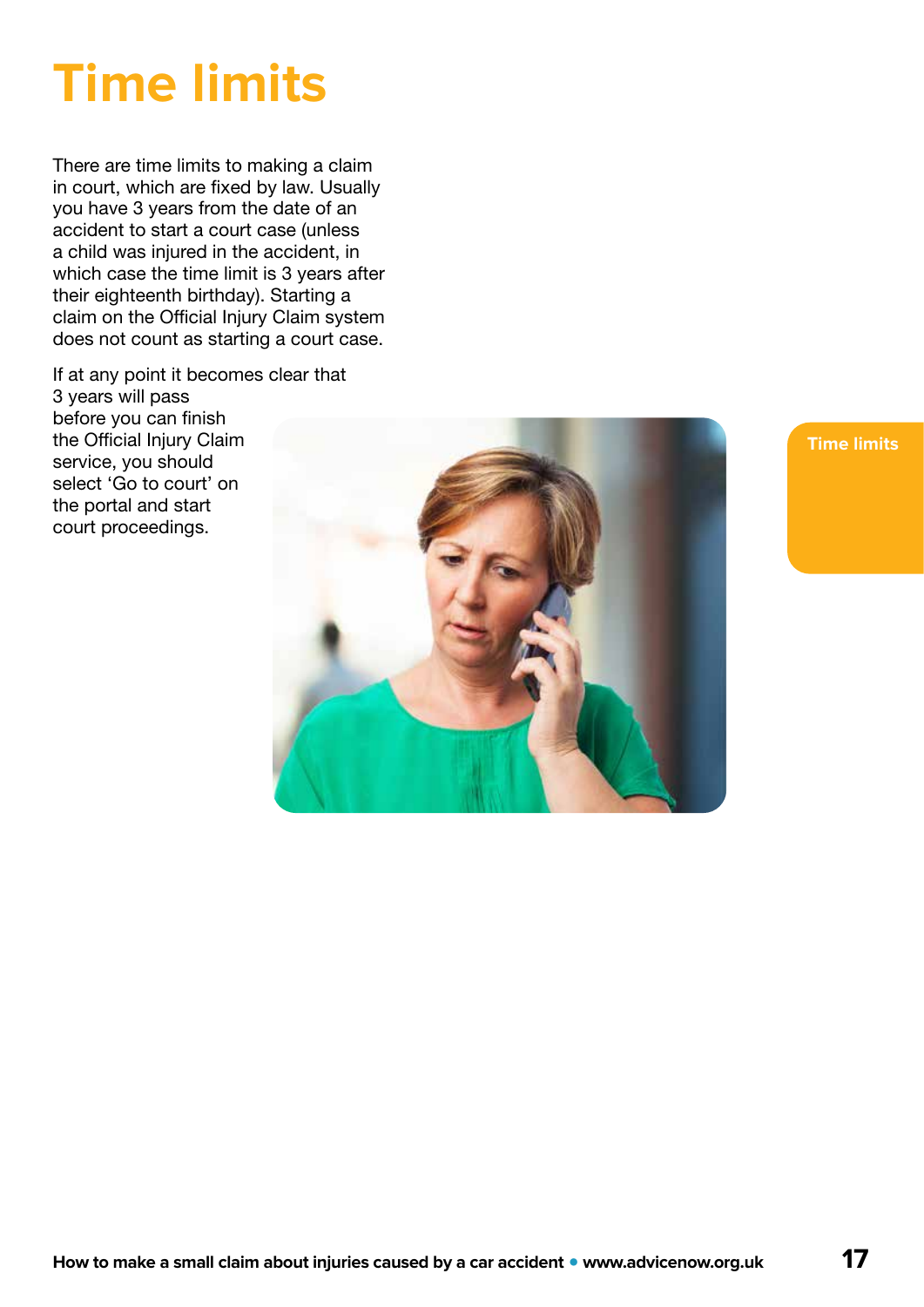## <span id="page-16-0"></span>**Time limits**

There are time limits to making a claim in court, which are fixed by law. Usually you have 3 years from the date of an accident to start a court case (unless a child was injured in the accident, in which case the time limit is 3 years after their eighteenth birthday). Starting a claim on the Official Injury Claim system does not count as starting a court case.

If at any point it becomes clear that 3 years will pass before you can finish the Official Injury Claim service, you should select 'Go to court' on the portal and start court proceedings.



**Time limits**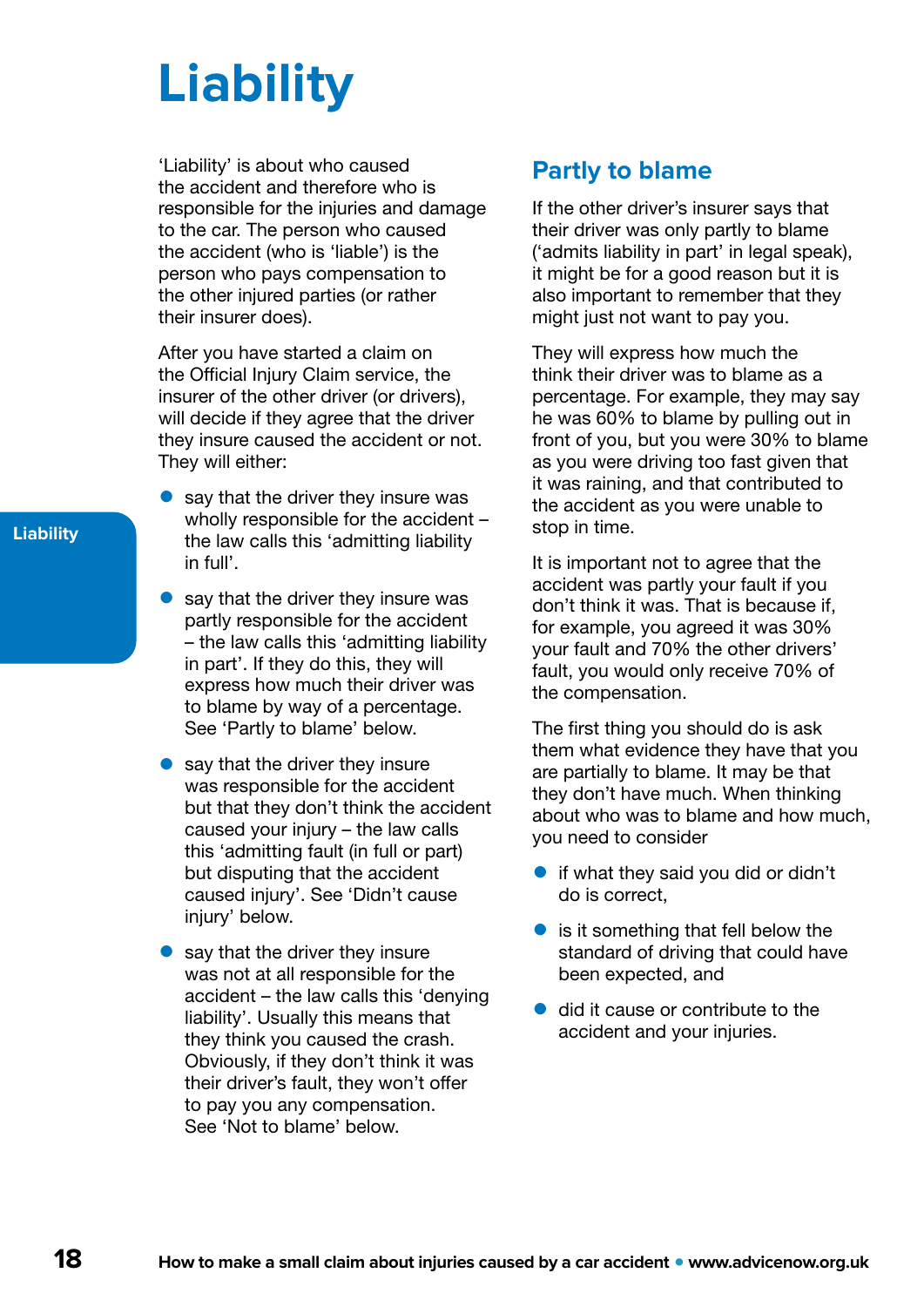## <span id="page-17-0"></span>**Liability**

'Liability' is about who caused the accident and therefore who is responsible for the injuries and damage to the car. The person who caused the accident (who is 'liable') is the person who pays compensation to the other injured parties (or rather their insurer does).

After you have started a claim on the Official Injury Claim service, the insurer of the other driver (or drivers), will decide if they agree that the driver they insure caused the accident or not. They will either:

- $\bullet$  say that the driver they insure was wholly responsible for the accident – the law calls this 'admitting liability in full'.
- say that the driver they insure was partly responsible for the accident – the law calls this 'admitting liability in part'. If they do this, they will express how much their driver was to blame by way of a percentage. See 'Partly to blame' below.
- $\bullet$  say that the driver they insure was responsible for the accident but that they don't think the accident caused your injury – the law calls this 'admitting fault (in full or part) but disputing that the accident caused injury'. See 'Didn't cause injury' below.
- $\bullet$  say that the driver they insure was not at all responsible for the accident – the law calls this 'denying liability'. Usually this means that they think you caused the crash. Obviously, if they don't think it was their driver's fault, they won't offer to pay you any compensation. See 'Not to blame' below.

### **Partly to blame**

If the other driver's insurer says that their driver was only partly to blame ('admits liability in part' in legal speak), it might be for a good reason but it is also important to remember that they might just not want to pay you.

They will express how much the think their driver was to blame as a percentage. For example, they may say he was 60% to blame by pulling out in front of you, but you were 30% to blame as you were driving too fast given that it was raining, and that contributed to the accident as you were unable to stop in time.

It is important not to agree that the accident was partly your fault if you don't think it was. That is because if, for example, you agreed it was 30% your fault and 70% the other drivers' fault, you would only receive 70% of the compensation.

The first thing you should do is ask them what evidence they have that you are partially to blame. It may be that they don't have much. When thinking about who was to blame and how much, you need to consider

- if what they said you did or didn't do is correct,
- is it something that fell below the standard of driving that could have been expected, and
- did it cause or contribute to the accident and your injuries.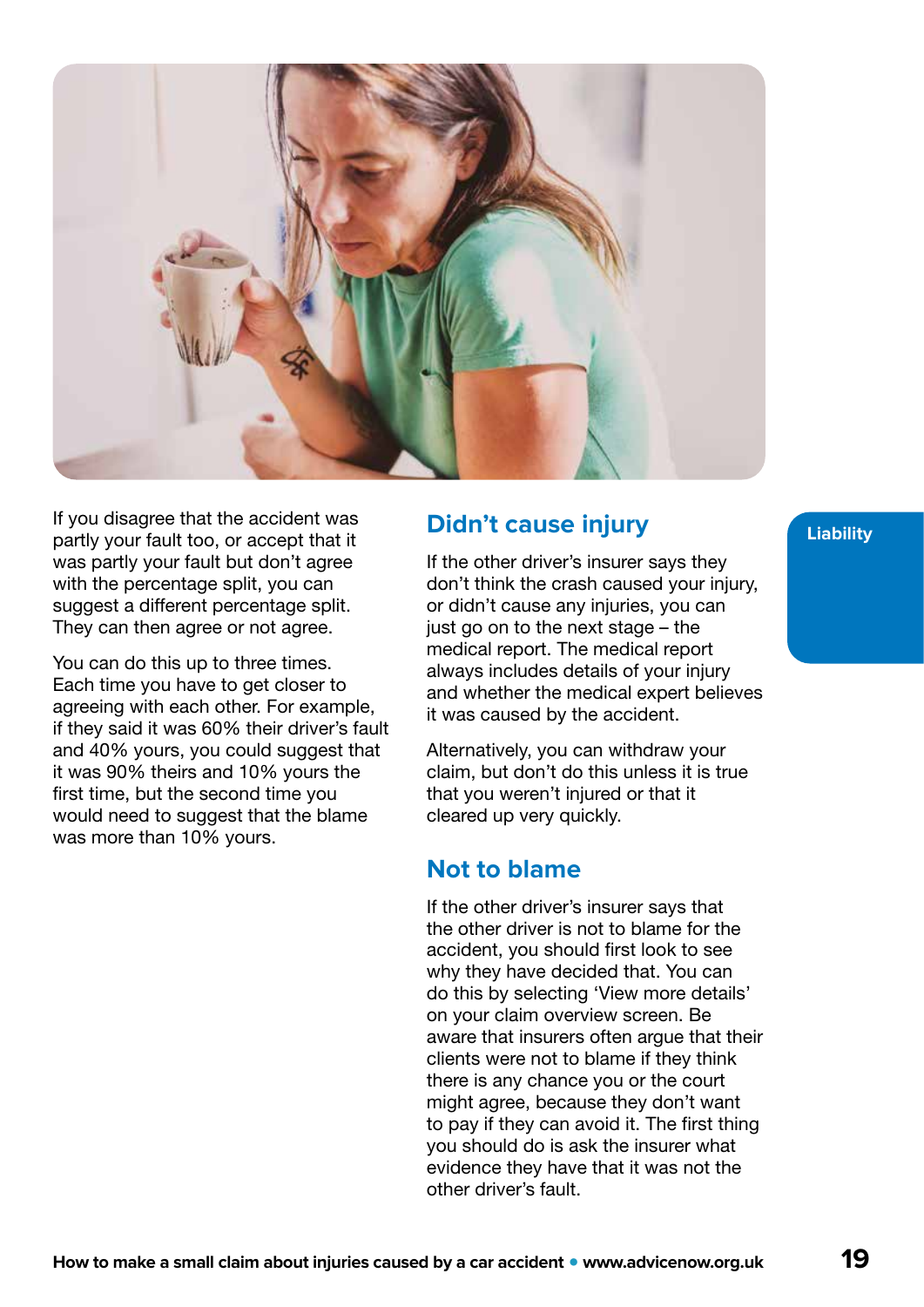

If you disagree that the accident was **Didn't cause injury Example 10 For the Unit of the Unit of Accept that it** partly your fault too, or accept that it was partly your fault but don't agree with the percentage split, you can suggest a different percentage split. They can then agree or not agree.

You can do this up to three times. Each time you have to get closer to agreeing with each other. For example, if they said it was 60% their driver's fault and 40% yours, you could suggest that it was 90% theirs and 10% yours the first time, but the second time you would need to suggest that the blame was more than 10% yours.

If the other driver's insurer says they don't think the crash caused your injury, or didn't cause any injuries, you can just go on to the next stage – the medical report. The medical report always includes details of your injury and whether the medical expert believes it was caused by the accident.

Alternatively, you can withdraw your claim, but don't do this unless it is true that you weren't injured or that it cleared up very quickly.

### **Not to blame**

If the other driver's insurer says that the other driver is not to blame for the accident, you should first look to see why they have decided that. You can do this by selecting 'View more details' on your claim overview screen. Be aware that insurers often argue that their clients were not to blame if they think there is any chance you or the court might agree, because they don't want to pay if they can avoid it. The first thing you should do is ask the insurer what evidence they have that it was not the other driver's fault.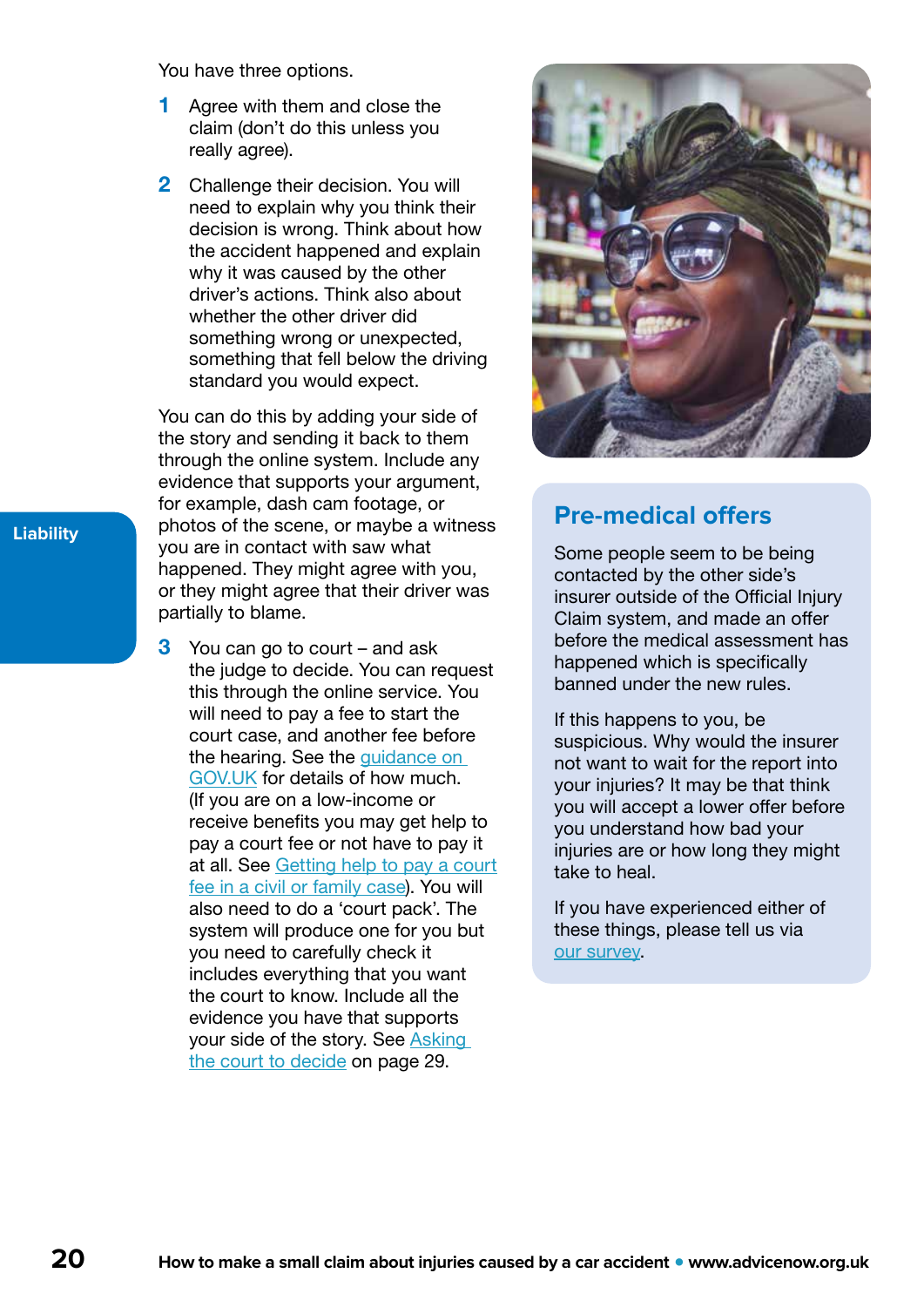You have three options.

- 1 Agree with them and close the claim (don't do this unless you really agree).
- 2 Challenge their decision. You will need to explain why you think their decision is wrong. Think about how the accident happened and explain why it was caused by the other driver's actions. Think also about whether the other driver did something wrong or unexpected, something that fell below the driving standard you would expect.

You can do this by adding your side of the story and sending it back to them through the online system. Include any evidence that supports your argument, for example, dash cam footage, or photos of the scene, or maybe a witness you are in contact with saw what happened. They might agree with you, or they might agree that their driver was partially to blame.

3 You can go to court – and ask the judge to decide. You can request this through the online service. You will need to pay a fee to start the court case, and another fee before the hearing. See the [guidance on](https://www.gov.uk/government/publications/whiplash-reform-programme-information-and-faq/payment-of-court-fees-in-road-traffic-accident-related-personal-injury-claims-under-the-new-small-claims-track-limit)  [GOV.UK](https://www.gov.uk/government/publications/whiplash-reform-programme-information-and-faq/payment-of-court-fees-in-road-traffic-accident-related-personal-injury-claims-under-the-new-small-claims-track-limit) for details of how much. (If you are on a low-income or receive benefits you may get help to pay a court fee or not have to pay it at all. See [Getting help to pay a court](https://www.advicenow.org.uk/know-hows/getting-help-pay-court-fee-civil-or-family-case) [fee in a civil or family case](https://www.advicenow.org.uk/know-hows/getting-help-pay-court-fee-civil-or-family-case)). You will also need to do a 'court pack'. The system will produce one for you but you need to carefully check it includes everything that you want the court to know. Include all the evidence you have that supports your side of the story. See [Asking](#page-28-0)  [the court to decide](#page-28-0) on page 29.



### **Pre-medical offers**

Some people seem to be being contacted by the other side's insurer outside of the Official Injury Claim system, and made an offer before the medical assessment has happened which is specifically banned under the new rules.

If this happens to you, be suspicious. Why would the insurer not want to wait for the report into your injuries? It may be that think you will accept a lower offer before you understand how bad your injuries are or how long they might take to heal.

If you have experienced either of these things, please tell us via [our survey](https://www.surveymonkey.co.uk/r/BQZYZFF).

**Liability**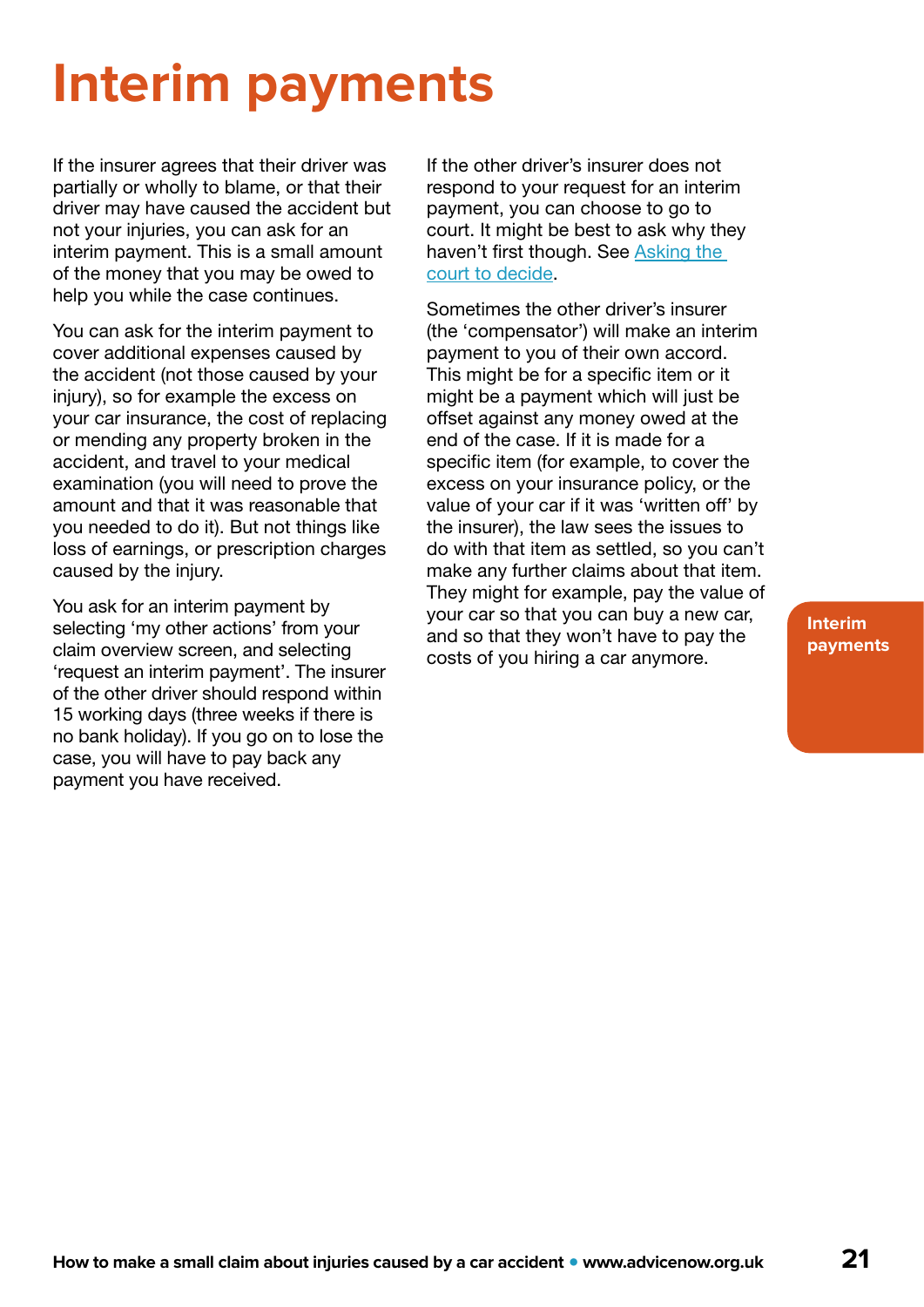## <span id="page-20-0"></span>**Interim payments**

If the insurer agrees that their driver was partially or wholly to blame, or that their driver may have caused the accident but not your injuries, you can ask for an interim payment. This is a small amount of the money that you may be owed to help you while the case continues.

You can ask for the interim payment to cover additional expenses caused by the accident (not those caused by your injury), so for example the excess on your car insurance, the cost of replacing or mending any property broken in the accident, and travel to your medical examination (you will need to prove the amount and that it was reasonable that you needed to do it). But not things like loss of earnings, or prescription charges caused by the injury.

You ask for an interim payment by selecting 'my other actions' from your claim overview screen, and selecting 'request an interim payment'. The insurer of the other driver should respond within 15 working days (three weeks if there is no bank holiday). If you go on to lose the case, you will have to pay back any payment you have received.

If the other driver's insurer does not respond to your request for an interim payment, you can choose to go to court. It might be best to ask why they haven't first though. See Asking the [court to decide](#page-28-0).

Sometimes the other driver's insurer (the 'compensator') will make an interim payment to you of their own accord. This might be for a specific item or it might be a payment which will just be offset against any money owed at the end of the case. If it is made for a specific item (for example, to cover the excess on your insurance policy, or the value of your car if it was 'written off' by the insurer), the law sees the issues to do with that item as settled, so you can't make any further claims about that item. They might for example, pay the value of your car so that you can buy a new car, and so that they won't have to pay the costs of you hiring a car anymore.

**Interim payments**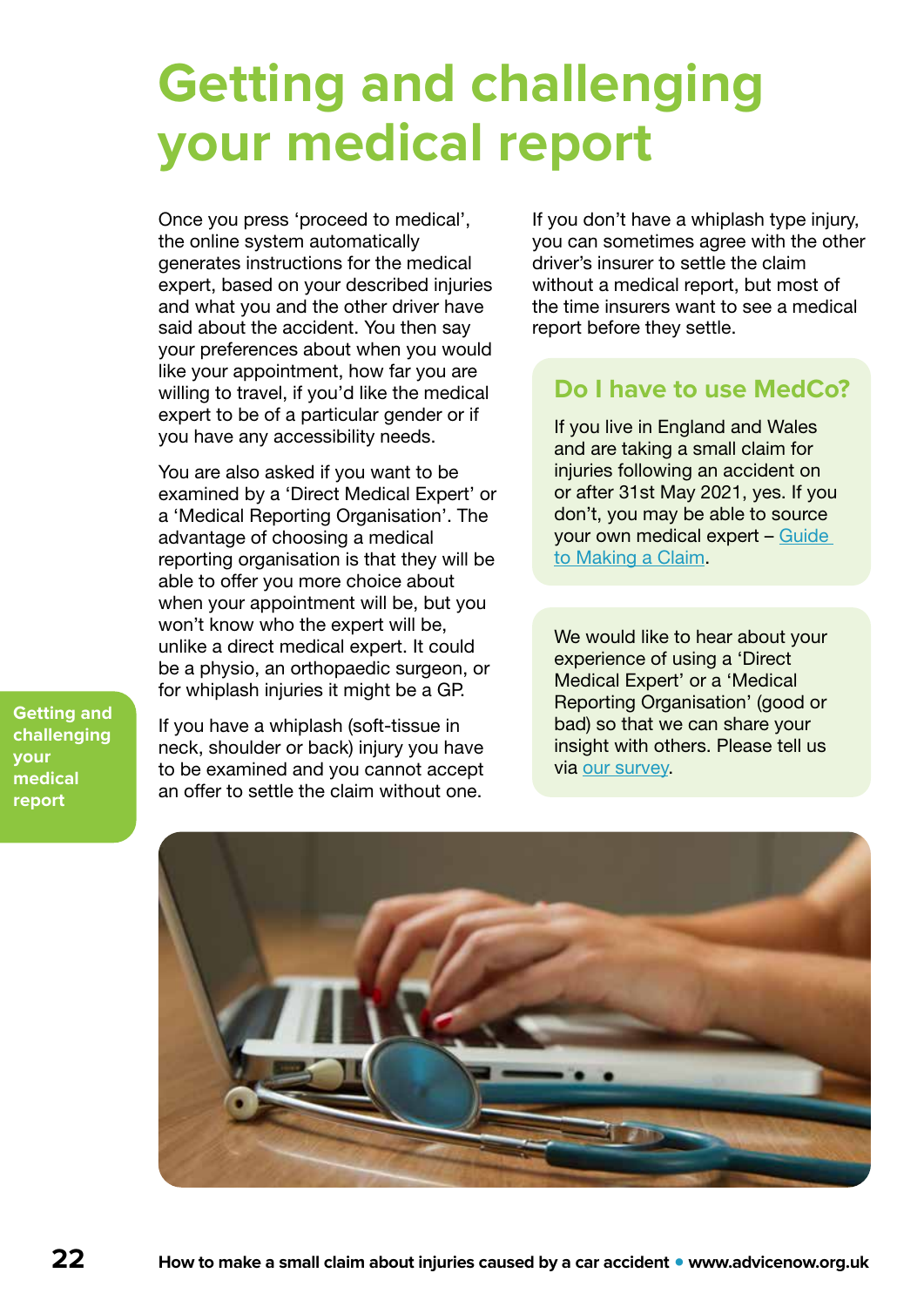## <span id="page-21-0"></span>**Getting and challenging your medical report**

Once you press 'proceed to medical', the online system automatically generates instructions for the medical expert, based on your described injuries and what you and the other driver have said about the accident. You then say your preferences about when you would like your appointment, how far you are willing to travel, if you'd like the medical expert to be of a particular gender or if you have any accessibility needs.

You are also asked if you want to be examined by a 'Direct Medical Expert' or a 'Medical Reporting Organisation'. The advantage of choosing a medical reporting organisation is that they will be able to offer you more choice about when your appointment will be, but you won't know who the expert will be, unlike a direct medical expert. It could be a physio, an orthopaedic surgeon, or for whiplash injuries it might be a GP.

**Getting and challenging your medical report**

If you have a whiplash (soft-tissue in neck, shoulder or back) injury you have to be examined and you cannot accept an offer to settle the claim without one.

If you don't have a whiplash type injury, you can sometimes agree with the other driver's insurer to settle the claim without a medical report, but most of the time insurers want to see a medical report before they settle.

### **Do I have to use MedCo?**

If you live in England and Wales and are taking a small claim for injuries following an accident on or after 31st May 2021, yes. If you don't, you may be able to source your own medical expert – [Guide](https://www.officialinjuryclaim.org.uk/media/1141/guide-to-making-a-claim-version-20-april-2021.pdf)  [to Making a Claim](https://www.officialinjuryclaim.org.uk/media/1141/guide-to-making-a-claim-version-20-april-2021.pdf).

We would like to hear about your experience of using a 'Direct Medical Expert' or a 'Medical Reporting Organisation' (good or bad) so that we can share your insight with others. Please tell us via [our survey.](https://www.surveymonkey.co.uk/r/BQZYZFF)

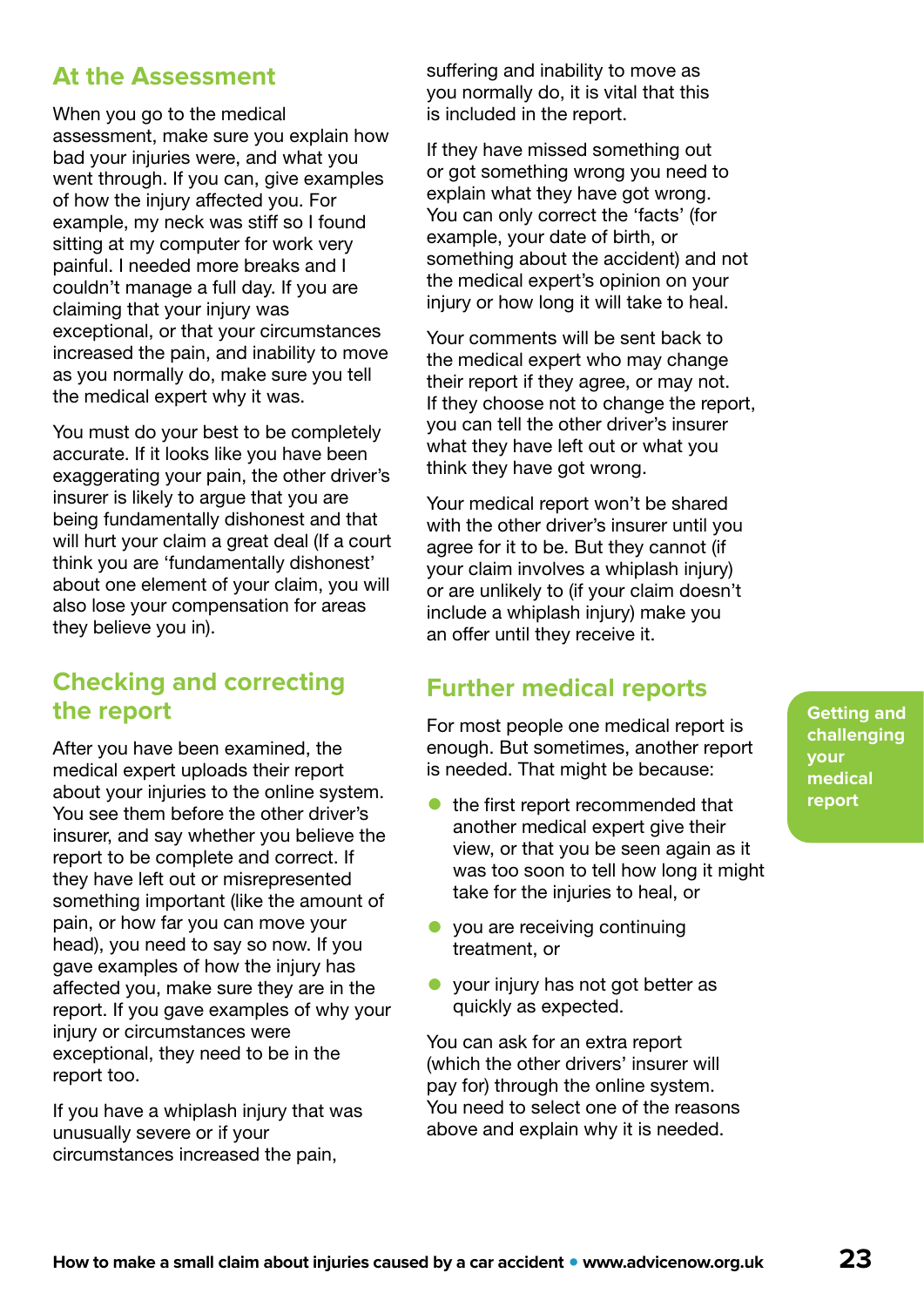### **At the Assessment**

When you go to the medical assessment, make sure you explain how bad your injuries were, and what you went through. If you can, give examples of how the injury affected you. For example, my neck was stiff so I found sitting at my computer for work very painful. I needed more breaks and I couldn't manage a full day. If you are claiming that your injury was exceptional, or that your circumstances increased the pain, and inability to move as you normally do, make sure you tell the medical expert why it was.

You must do your best to be completely accurate. If it looks like you have been exaggerating your pain, the other driver's insurer is likely to argue that you are being fundamentally dishonest and that will hurt your claim a great deal (If a court think you are 'fundamentally dishonest' about one element of your claim, you will also lose your compensation for areas they believe you in).

### **Checking and correcting the report**

After you have been examined, the medical expert uploads their report about your injuries to the online system. You see them before the other driver's insurer, and say whether you believe the report to be complete and correct. If they have left out or misrepresented something important (like the amount of pain, or how far you can move your head), you need to say so now. If you gave examples of how the injury has affected you, make sure they are in the report. If you gave examples of why your injury or circumstances were exceptional, they need to be in the report too.

If you have a whiplash injury that was unusually severe or if your circumstances increased the pain,

suffering and inability to move as you normally do, it is vital that this is included in the report.

If they have missed something out or got something wrong you need to explain what they have got wrong. You can only correct the 'facts' (for example, your date of birth, or something about the accident) and not the medical expert's opinion on your injury or how long it will take to heal.

Your comments will be sent back to the medical expert who may change their report if they agree, or may not. If they choose not to change the report, you can tell the other driver's insurer what they have left out or what you think they have got wrong.

Your medical report won't be shared with the other driver's insurer until you agree for it to be. But they cannot (if your claim involves a whiplash injury) or are unlikely to (if your claim doesn't include a whiplash injury) make you an offer until they receive it.

### **Further medical reports**

For most people one medical report is enough. But sometimes, another report is needed. That might be because:

- the first report recommended that another medical expert give their view, or that you be seen again as it was too soon to tell how long it might take for the injuries to heal, or
- you are receiving continuing treatment, or
- your injury has not got better as quickly as expected.

You can ask for an extra report (which the other drivers' insurer will pay for) through the online system. You need to select one of the reasons above and explain why it is needed.

**Getting and challenging your medical report**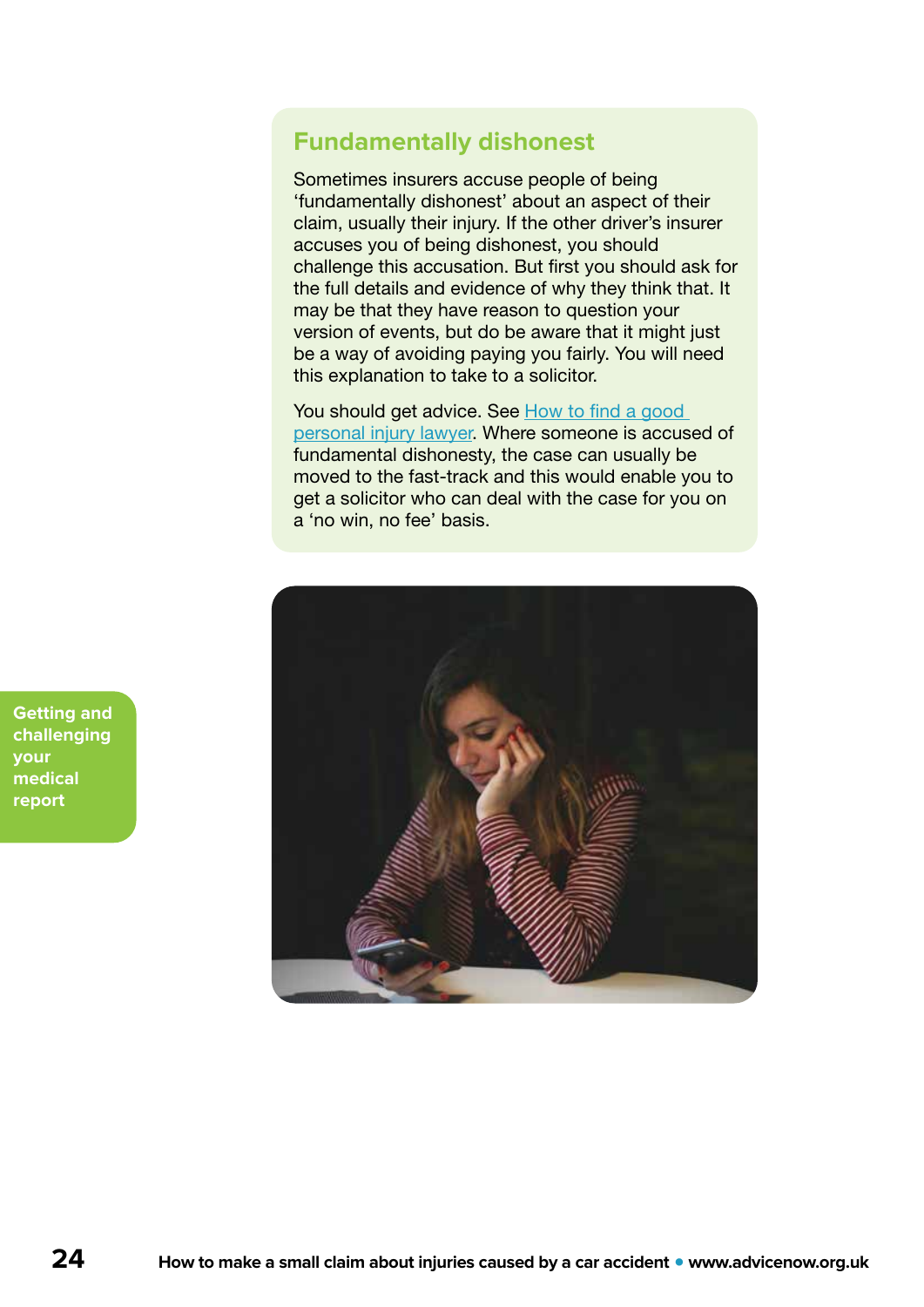### <span id="page-23-0"></span>**Fundamentally dishonest**

Sometimes insurers accuse people of being 'fundamentally dishonest' about an aspect of their claim, usually their injury. If the other driver's insurer accuses you of being dishonest, you should challenge this accusation. But first you should ask for the full details and evidence of why they think that. It may be that they have reason to question your version of events, but do be aware that it might just be a way of avoiding paying you fairly. You will need this explanation to take to a solicitor.

You should get advice. See How to find a good [personal injury lawyer](#page-6-0). Where someone is accused of fundamental dishonesty, the case can usually be moved to the fast-track and this would enable you to get a solicitor who can deal with the case for you on a 'no win, no fee' basis.



**Getting and challenging your medical report**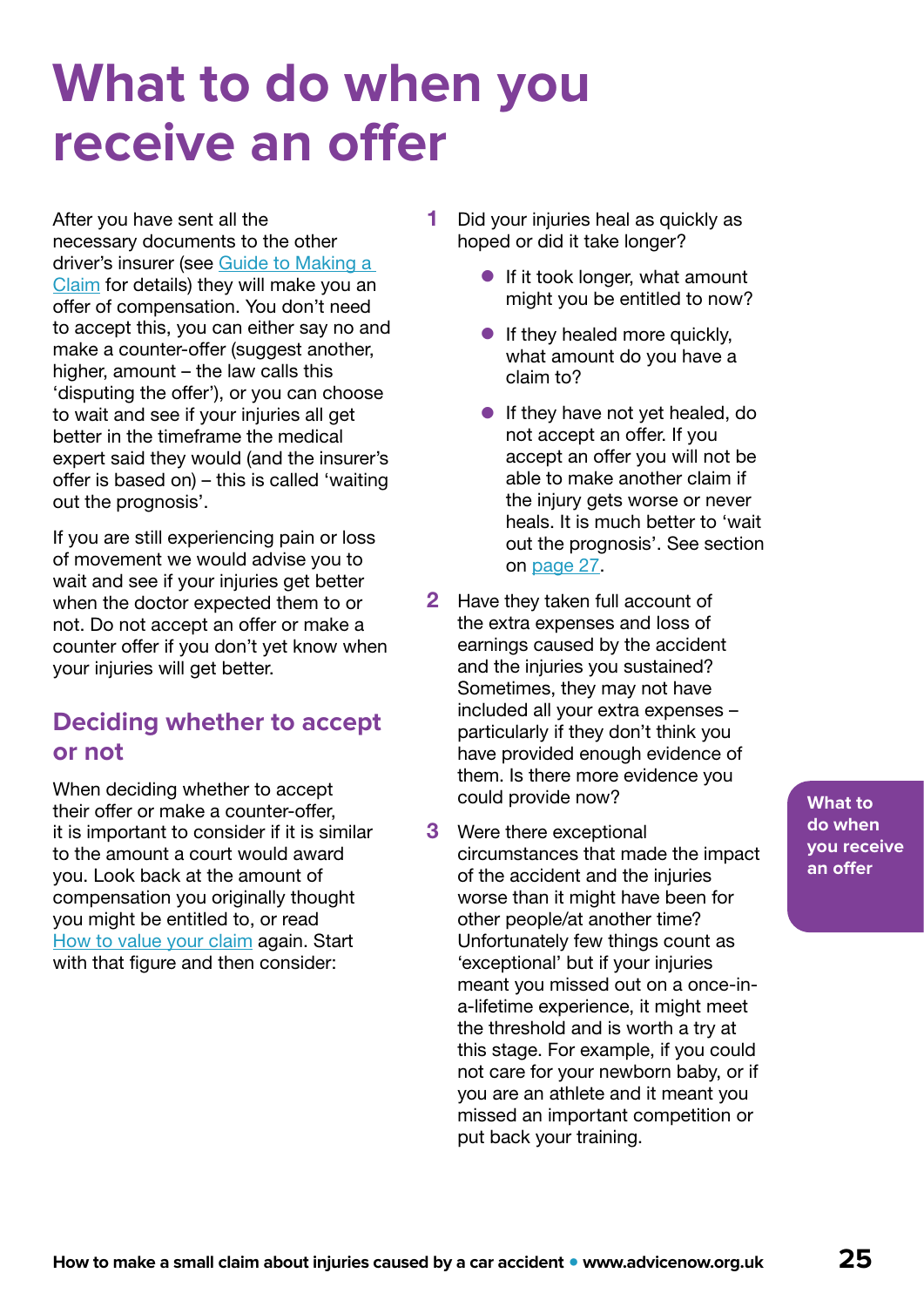## <span id="page-24-0"></span>**What to do when you receive an offer**

After you have sent all the necessary documents to the other driver's insurer (see [Guide to Making a](https://www.officialinjuryclaim.org.uk/media/1141/guide-to-making-a-claim-version-20-april-2021.pdf)  [Claim](https://www.officialinjuryclaim.org.uk/media/1141/guide-to-making-a-claim-version-20-april-2021.pdf) for details) they will make you an offer of compensation. You don't need to accept this, you can either say no and make a counter-offer (suggest another, higher, amount – the law calls this 'disputing the offer'), or you can choose to wait and see if your injuries all get better in the timeframe the medical expert said they would (and the insurer's offer is based on) – this is called 'waiting out the prognosis'.

If you are still experiencing pain or loss of movement we would advise you to wait and see if your injuries get better when the doctor expected them to or not. Do not accept an offer or make a counter offer if you don't yet know when your injuries will get better.

### **Deciding whether to accept or not**

When deciding whether to accept their offer or make a counter-offer, it is important to consider if it is similar to the amount a court would award you. Look back at the amount of compensation you originally thought you might be entitled to, or read [How to value your claim](#page-7-0) again. Start with that figure and then consider:

- 1 Did your injuries heal as quickly as hoped or did it take longer?
	- **•** If it took longer, what amount might you be entitled to now?
	- **•** If they healed more quickly, what amount do you have a claim to?
	- **•** If they have not yet healed, do not accept an offer. If you accept an offer you will not be able to make another claim if the injury gets worse or never heals. It is much better to 'wait out the prognosis'. See section on [page 27](#page-26-0).
- 2 Have they taken full account of the extra expenses and loss of earnings caused by the accident and the injuries you sustained? Sometimes, they may not have included all your extra expenses – particularly if they don't think you have provided enough evidence of them. Is there more evidence you could provide now?
- **3** Were there exceptional circumstances that made the impact of the accident and the injuries worse than it might have been for other people/at another time? Unfortunately few things count as 'exceptional' but if your injuries meant you missed out on a once-ina-lifetime experience, it might meet the threshold and is worth a try at this stage. For example, if you could not care for your newborn baby, or if you are an athlete and it meant you missed an important competition or put back your training.

**What to do when you receive an offer**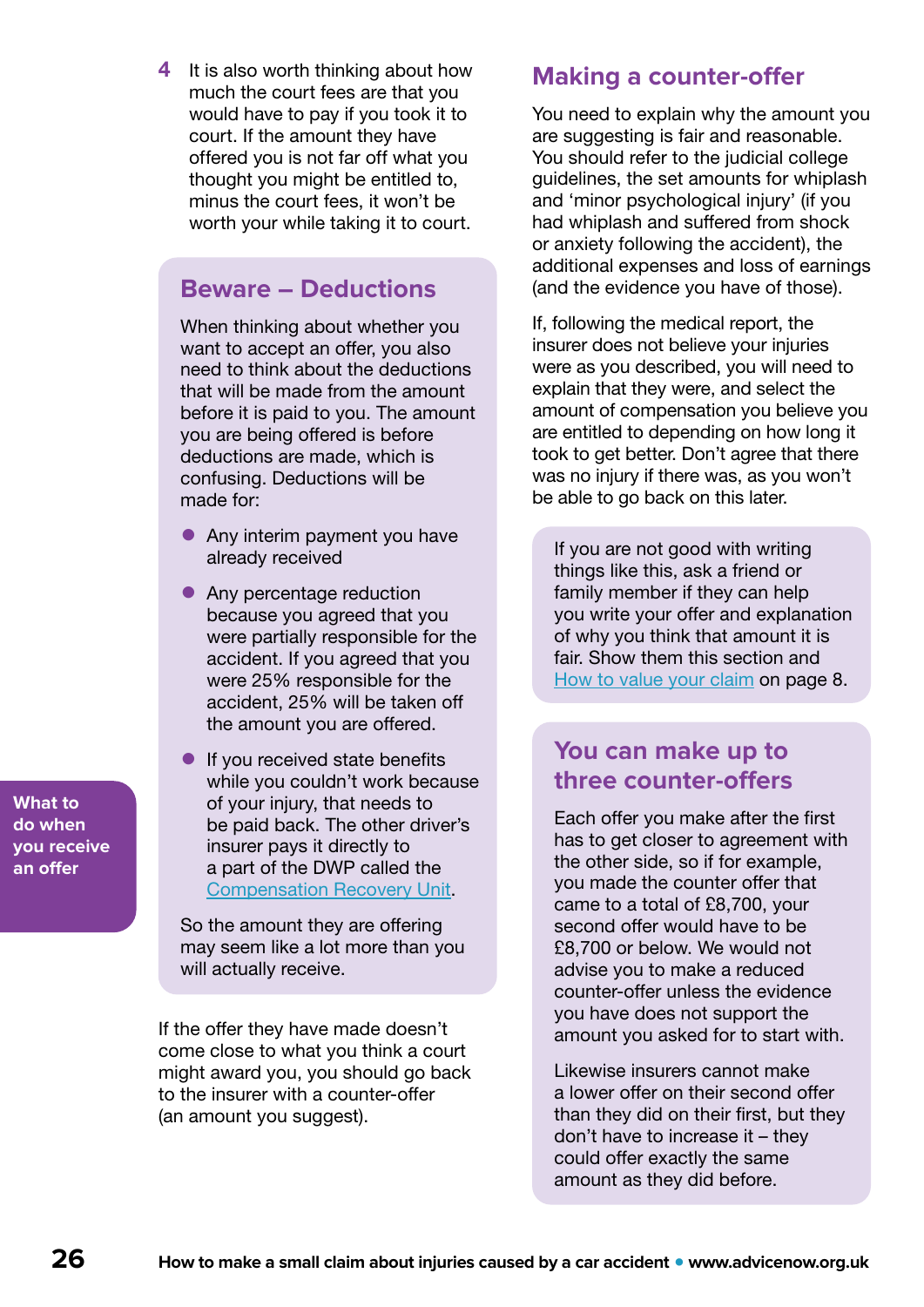**What to do when you receive an offer**

4 It is also worth thinking about how much the court fees are that you would have to pay if you took it to court. If the amount they have offered you is not far off what you thought you might be entitled to, minus the court fees, it won't be worth your while taking it to court.

### **Beware – Deductions**

When thinking about whether you want to accept an offer, you also need to think about the deductions that will be made from the amount before it is paid to you. The amount you are being offered is before deductions are made, which is confusing. Deductions will be made for:

- Any interim payment you have already received
- Any percentage reduction because you agreed that you were partially responsible for the accident. If you agreed that you were 25% responsible for the accident, 25% will be taken off the amount you are offered.
- **•** If you received state benefits while you couldn't work because of your injury, that needs to be paid back. The other driver's insurer pays it directly to a part of the DWP called the [Compensation Recovery Unit.](https://www.gov.uk/government/collections/cru)

So the amount they are offering may seem like a lot more than you will actually receive.

If the offer they have made doesn't come close to what you think a court might award you, you should go back to the insurer with a counter-offer (an amount you suggest).

### **Making a counter-offer**

You need to explain why the amount you are suggesting is fair and reasonable. You should refer to the judicial college guidelines, the set amounts for whiplash and 'minor psychological injury' (if you had whiplash and suffered from shock or anxiety following the accident), the additional expenses and loss of earnings (and the evidence you have of those).

If, following the medical report, the insurer does not believe your injuries were as you described, you will need to explain that they were, and select the amount of compensation you believe you are entitled to depending on how long it took to get better. Don't agree that there was no injury if there was, as you won't be able to go back on this later.

If you are not good with writing things like this, ask a friend or family member if they can help you write your offer and explanation of why you think that amount it is fair. Show them this section and [How to value your claim](#page-7-0) on page 8.

### **You can make up to three counter-offers**

Each offer you make after the first has to get closer to agreement with the other side, so if for example, you made the counter offer that came to a total of £8,700, your second offer would have to be £8,700 or below. We would not advise you to make a reduced counter-offer unless the evidence you have does not support the amount you asked for to start with.

Likewise insurers cannot make a lower offer on their second offer than they did on their first, but they don't have to increase it – they could offer exactly the same amount as they did before.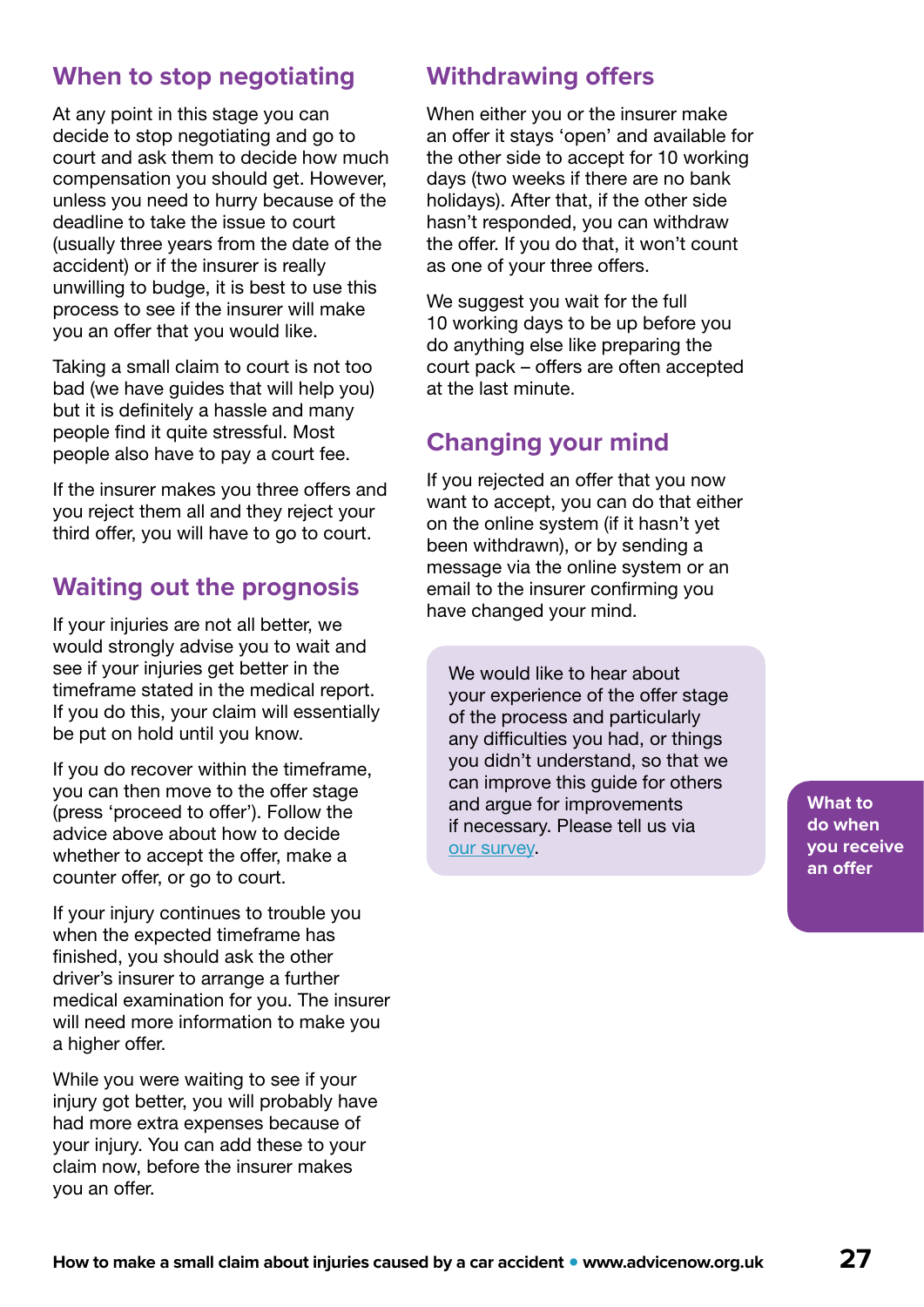### <span id="page-26-0"></span>**When to stop negotiating**

At any point in this stage you can decide to stop negotiating and go to court and ask them to decide how much compensation you should get. However, unless you need to hurry because of the deadline to take the issue to court (usually three years from the date of the accident) or if the insurer is really unwilling to budge, it is best to use this process to see if the insurer will make you an offer that you would like.

Taking a small claim to court is not too bad (we have guides that will help you) but it is definitely a hassle and many people find it quite stressful. Most people also have to pay a court fee.

If the insurer makes you three offers and you reject them all and they reject your third offer, you will have to go to court.

### **Waiting out the prognosis**

If your injuries are not all better, we would strongly advise you to wait and see if your injuries get better in the timeframe stated in the medical report. If you do this, your claim will essentially be put on hold until you know.

If you do recover within the timeframe, you can then move to the offer stage (press 'proceed to offer'). Follow the advice above about how to decide whether to accept the offer, make a counter offer, or go to court.

If your injury continues to trouble you when the expected timeframe has finished, you should ask the other driver's insurer to arrange a further medical examination for you. The insurer will need more information to make you a higher offer.

While you were waiting to see if your injury got better, you will probably have had more extra expenses because of your injury. You can add these to your claim now, before the insurer makes you an offer.

### **Withdrawing offers**

When either you or the insurer make an offer it stays 'open' and available for the other side to accept for 10 working days (two weeks if there are no bank holidays). After that, if the other side hasn't responded, you can withdraw the offer. If you do that, it won't count as one of your three offers.

We suggest you wait for the full 10 working days to be up before you do anything else like preparing the court pack – offers are often accepted at the last minute.

### **Changing your mind**

If you rejected an offer that you now want to accept, you can do that either on the online system (if it hasn't yet been withdrawn), or by sending a message via the online system or an email to the insurer confirming you have changed your mind.

We would like to hear about your experience of the offer stage of the process and particularly any difficulties you had, or things you didn't understand, so that we can improve this guide for others and argue for improvements if necessary. Please tell us via [our survey](https://www.surveymonkey.co.uk/r/BQZYZFF).

**What to do when you receive an offer**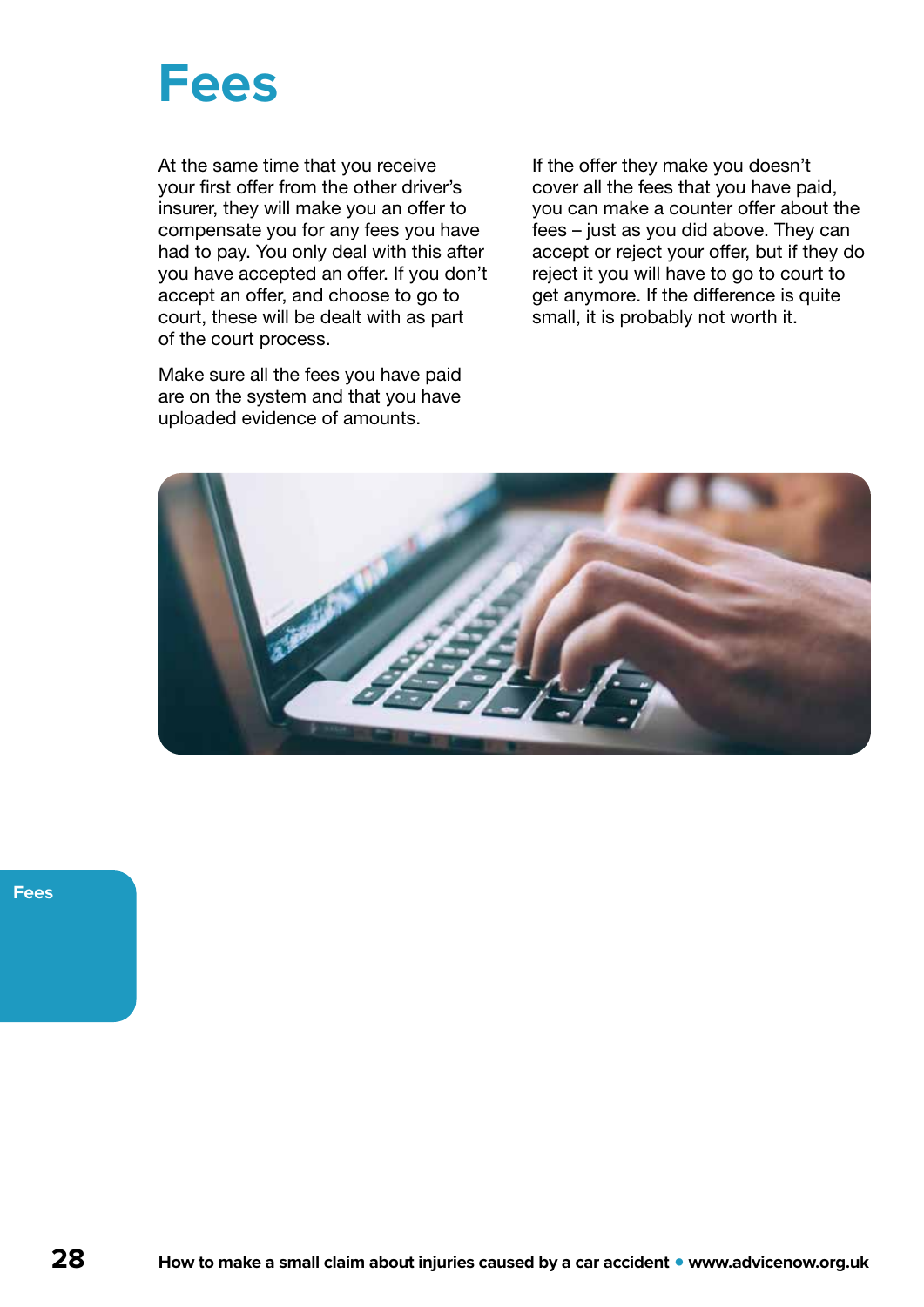<span id="page-27-0"></span>

At the same time that you receive your first offer from the other driver's insurer, they will make you an offer to compensate you for any fees you have had to pay. You only deal with this after you have accepted an offer. If you don't accept an offer, and choose to go to court, these will be dealt with as part of the court process.

Make sure all the fees you have paid are on the system and that you have uploaded evidence of amounts.

If the offer they make you doesn't cover all the fees that you have paid, you can make a counter offer about the fees – just as you did above. They can accept or reject your offer, but if they do reject it you will have to go to court to get anymore. If the difference is quite small, it is probably not worth it.



**Fees**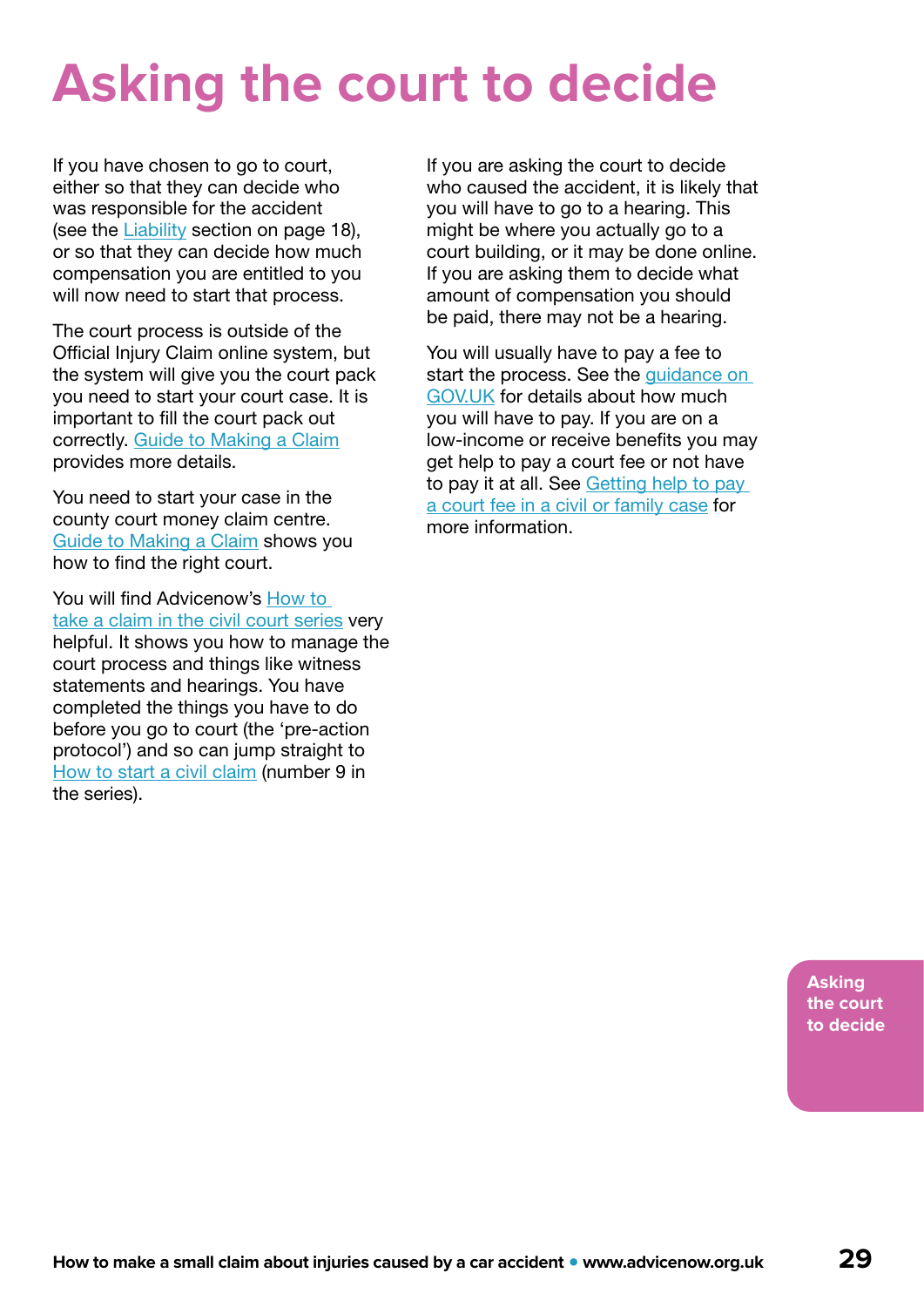## <span id="page-28-0"></span>**Asking the court to decide**

If you have chosen to go to court, either so that they can decide who was responsible for the accident (see the [Liability](#page-17-0) section on page 18), or so that they can decide how much compensation you are entitled to you will now need to start that process.

The court process is outside of the Official Injury Claim online system, but the system will give you the court pack you need to start your court case. It is important to fill the court pack out correctly. [Guide to Making a Claim](https://www.officialinjuryclaim.org.uk/media/1141/guide-to-making-a-claim-version-20-april-2021.pdf) provides more details.

You need to start your case in the county court money claim centre. [Guide to Making a Claim](https://www.officialinjuryclaim.org.uk/media/1141/guide-to-making-a-claim-version-20-april-2021.pdf) shows you how to find the right court.

You will find Advicenow's How to [take a claim in the civil court series](https://www.advicenow.org.uk/how-take-claim-civil-court) very helpful. It shows you how to manage the court process and things like witness statements and hearings. You have completed the things you have to do before you go to court (the 'pre-action protocol') and so can jump straight to [How to start a civil claim](https://www.advicenow.org.uk/guides/how-start-civil-claim) (number 9 in the series).

If you are asking the court to decide who caused the accident, it is likely that you will have to go to a hearing. This might be where you actually go to a court building, or it may be done online. If you are asking them to decide what amount of compensation you should be paid, there may not be a hearing.

You will usually have to pay a fee to start the process. See the quidance on [GOV.UK](https://www.gov.uk/government/publications/whiplash-reform-programme-information-and-faq/payment-of-court-fees-in-road-traffic-accident-related-personal-injury-claims-under-the-new-small-claims-track-limit) for details about how much you will have to pay. If you are on a low-income or receive benefits you may get help to pay a court fee or not have to pay it at all. See [Getting help to pay](https://www.advicenow.org.uk/know-hows/getting-help-pay-court-fee-civil-or-family-case)  [a court fee in a civil or family case](https://www.advicenow.org.uk/know-hows/getting-help-pay-court-fee-civil-or-family-case) for more information.

> **Asking the court to decide**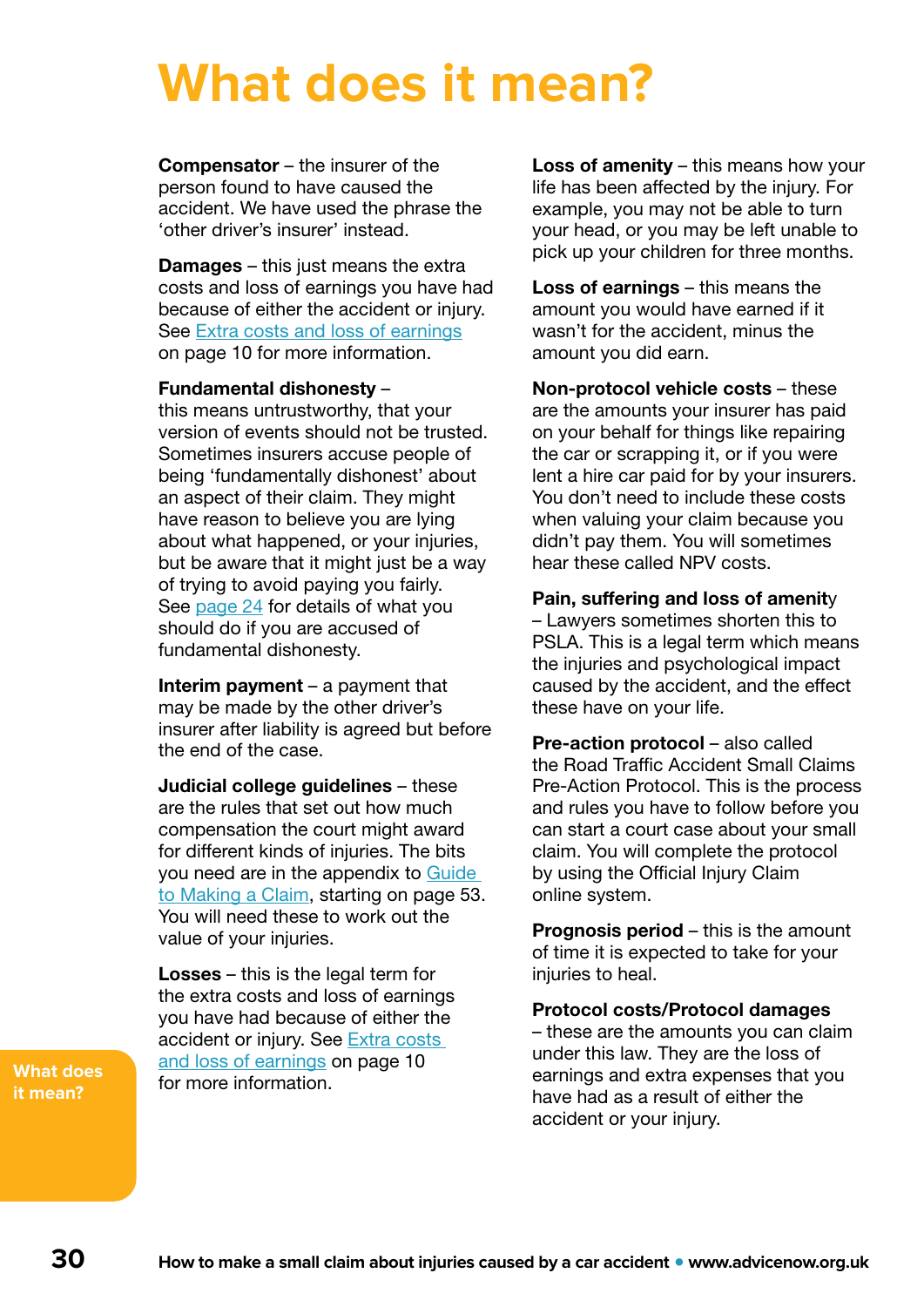## <span id="page-29-0"></span>**What does it mean?**

Compensator – the insurer of the person found to have caused the accident. We have used the phrase the 'other driver's insurer' instead.

**Damages** – this just means the extra costs and loss of earnings you have had because of either the accident or injury. See [Extra costs and loss of earnings](#page-9-0) on page 10 for more information.

### Fundamental dishonesty –

this means untrustworthy, that your version of events should not be trusted. Sometimes insurers accuse people of being 'fundamentally dishonest' about an aspect of their claim. They might have reason to believe you are lying about what happened, or your injuries, but be aware that it might just be a way of trying to avoid paying you fairly. See [page 24](#page-23-0) for details of what you should do if you are accused of fundamental dishonesty.

**Interim payment** – a payment that may be made by the other driver's insurer after liability is agreed but before the end of the case.

Judicial college guidelines – these are the rules that set out how much compensation the court might award for different kinds of injuries. The bits you need are in the appendix to [Guide](https://www.officialinjuryclaim.org.uk/media/1141/guide-to-making-a-claim-version-20-april-2021.pdf)  [to Making a Claim](https://www.officialinjuryclaim.org.uk/media/1141/guide-to-making-a-claim-version-20-april-2021.pdf), starting on page 53. You will need these to work out the value of your injuries.

Losses – this is the legal term for the extra costs and loss of earnings you have had because of either the accident or injury. See **Extra costs** [and loss of earnings](#page-9-0) on page 10 for more information.

**What does it mean?**

Loss of amenity – this means how your life has been affected by the injury. For example, you may not be able to turn your head, or you may be left unable to pick up your children for three months.

Loss of earnings – this means the amount you would have earned if it wasn't for the accident, minus the amount you did earn.

Non-protocol vehicle costs – these are the amounts your insurer has paid on your behalf for things like repairing the car or scrapping it, or if you were lent a hire car paid for by your insurers. You don't need to include these costs when valuing your claim because you didn't pay them. You will sometimes hear these called NPV costs.

Pain, suffering and loss of amenity – Lawyers sometimes shorten this to PSLA. This is a legal term which means the injuries and psychological impact caused by the accident, and the effect these have on your life.

Pre-action protocol – also called the Road Traffic Accident Small Claims Pre-Action Protocol. This is the process and rules you have to follow before you can start a court case about your small claim. You will complete the protocol by using the Official Injury Claim online system.

**Prognosis period – this is the amount** of time it is expected to take for your injuries to heal.

Protocol costs/Protocol damages – these are the amounts you can claim under this law. They are the loss of earnings and extra expenses that you have had as a result of either the accident or your injury.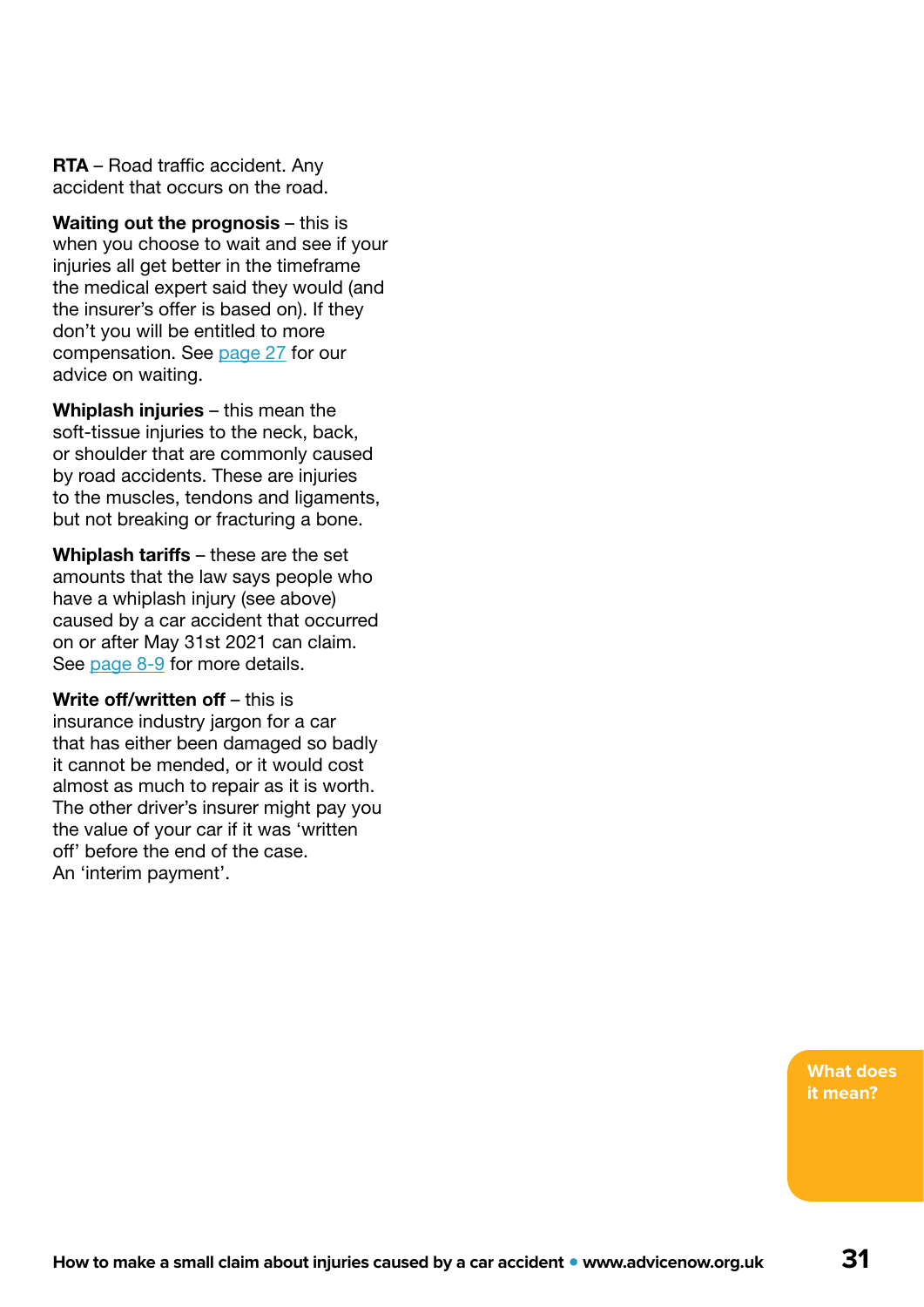RTA – Road traffic accident. Any accident that occurs on the road.

Waiting out the prognosis – this is when you choose to wait and see if your injuries all get better in the timeframe the medical expert said they would (and the insurer's offer is based on). If they don't you will be entitled to more compensation. See [page 27](#page-26-0) for our advice on waiting.

Whiplash injuries – this mean the soft-tissue injuries to the neck, back, or shoulder that are commonly caused by road accidents. These are injuries to the muscles, tendons and ligaments, but not breaking or fracturing a bone.

Whiplash tariffs – these are the set amounts that the law says people who have a whiplash injury (see above) caused by a car accident that occurred on or after May 31st 2021 can claim. See [page 8-9](#page-7-0) for more details.

Write off/written off – this is insurance industry jargon for a car that has either been damaged so badly it cannot be mended, or it would cost almost as much to repair as it is worth. The other driver's insurer might pay you the value of your car if it was 'written off' before the end of the case. An 'interim payment'.

> **What does it mean?**